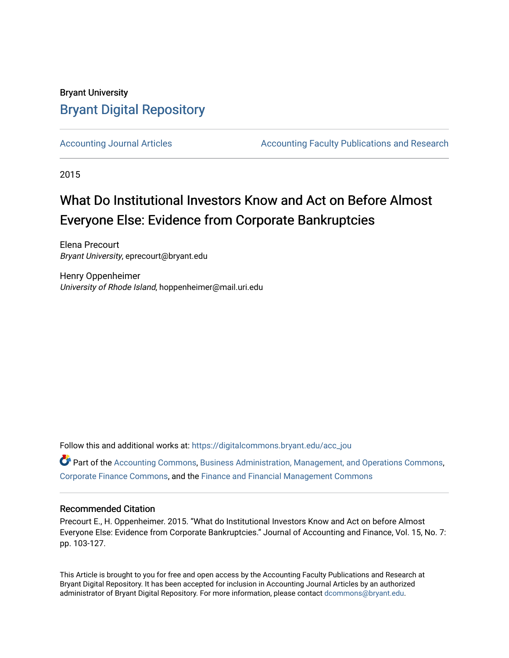# Bryant University [Bryant Digital Repository](https://digitalcommons.bryant.edu/)

[Accounting Journal Articles](https://digitalcommons.bryant.edu/acc_jou) **Accounting Faculty Publications and Research** Accounting Faculty Publications and Research

2015

# What Do Institutional Investors Know and Act on Before Almost Everyone Else: Evidence from Corporate Bankruptcies

Elena Precourt Bryant University, eprecourt@bryant.edu

Henry Oppenheimer University of Rhode Island, hoppenheimer@mail.uri.edu

Follow this and additional works at: [https://digitalcommons.bryant.edu/acc\\_jou](https://digitalcommons.bryant.edu/acc_jou?utm_source=digitalcommons.bryant.edu%2Facc_jou%2F114&utm_medium=PDF&utm_campaign=PDFCoverPages)

 $\bullet$  Part of the [Accounting Commons](http://network.bepress.com/hgg/discipline/625?utm_source=digitalcommons.bryant.edu%2Facc_jou%2F114&utm_medium=PDF&utm_campaign=PDFCoverPages), [Business Administration, Management, and Operations Commons,](http://network.bepress.com/hgg/discipline/623?utm_source=digitalcommons.bryant.edu%2Facc_jou%2F114&utm_medium=PDF&utm_campaign=PDFCoverPages) [Corporate Finance Commons](http://network.bepress.com/hgg/discipline/629?utm_source=digitalcommons.bryant.edu%2Facc_jou%2F114&utm_medium=PDF&utm_campaign=PDFCoverPages), and the [Finance and Financial Management Commons](http://network.bepress.com/hgg/discipline/631?utm_source=digitalcommons.bryant.edu%2Facc_jou%2F114&utm_medium=PDF&utm_campaign=PDFCoverPages) 

## Recommended Citation

Precourt E., H. Oppenheimer. 2015. "What do Institutional Investors Know and Act on before Almost Everyone Else: Evidence from Corporate Bankruptcies." Journal of Accounting and Finance, Vol. 15, No. 7: pp. 103-127.

This Article is brought to you for free and open access by the Accounting Faculty Publications and Research at Bryant Digital Repository. It has been accepted for inclusion in Accounting Journal Articles by an authorized administrator of Bryant Digital Repository. For more information, please contact [dcommons@bryant.edu](mailto:dcommons@bryant.edu).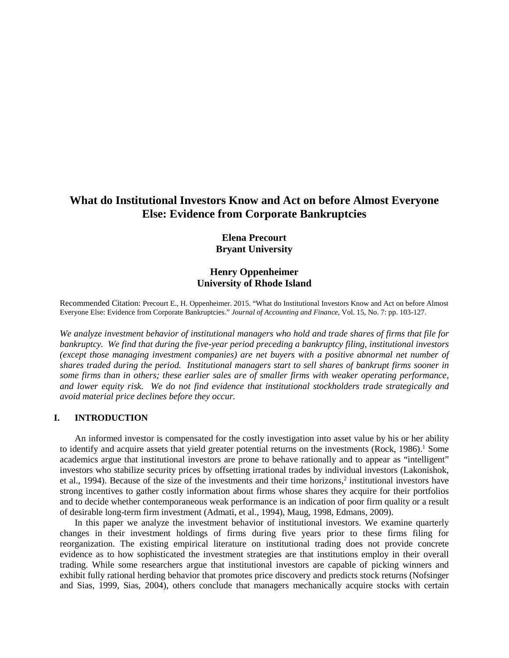# **What do Institutional Investors Know and Act on before Almost Everyone Else: Evidence from Corporate Bankruptcies**

## **Elena Precourt Bryant University**

## **Henry Oppenheimer University of Rhode Island**

Recommended Citation: Precourt E., H. Oppenheimer. 2015. "What do Institutional Investors Know and Act on before Almost Everyone Else: Evidence from Corporate Bankruptcies." *Journal of Accounting and Finance*, Vol. 15, No. 7: pp. 103-127.

*We analyze investment behavior of institutional managers who hold and trade shares of firms that file for bankruptcy. We find that during the five-year period preceding a bankruptcy filing, institutional investors (except those managing investment companies) are net buyers with a positive abnormal net number of shares traded during the period. Institutional managers start to sell shares of bankrupt firms sooner in some firms than in others; these earlier sales are of smaller firms with weaker operating performance, and lower equity risk. We do not find evidence that institutional stockholders trade strategically and avoid material price declines before they occur.*

#### **I. INTRODUCTION**

An informed investor is compensated for the costly investigation into asset value by his or her ability to identify and acquire assets that yield greater potential returns on the investments (Rock, 1986).<sup>1</sup> Some academics argue that institutional investors are prone to behave rationally and to appear as "intelligent" investors who stabilize security prices by offsetting irrational trades by individual investors (Lakonishok, et al., 1994). Because of the size of the investments and their time horizons,2 institutional investors have strong incentives to gather costly information about firms whose shares they acquire for their portfolios and to decide whether contemporaneous weak performance is an indication of poor firm quality or a result of desirable long-term firm investment (Admati, et al., 1994), Maug, 1998, Edmans, 2009).

In this paper we analyze the investment behavior of institutional investors. We examine quarterly changes in their investment holdings of firms during five years prior to these firms filing for reorganization. The existing empirical literature on institutional trading does not provide concrete evidence as to how sophisticated the investment strategies are that institutions employ in their overall trading. While some researchers argue that institutional investors are capable of picking winners and exhibit fully rational herding behavior that promotes price discovery and predicts stock returns (Nofsinger and Sias, 1999, Sias, 2004), others conclude that managers mechanically acquire stocks with certain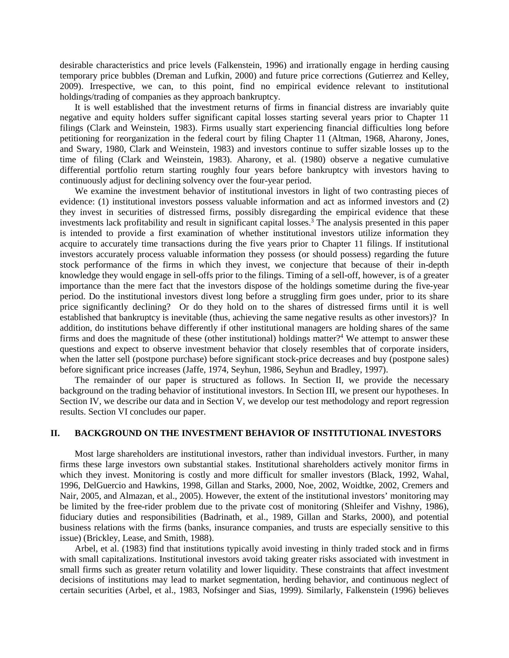desirable characteristics and price levels (Falkenstein, 1996) and irrationally engage in herding causing temporary price bubbles (Dreman and Lufkin, 2000) and future price corrections (Gutierrez and Kelley, 2009). Irrespective, we can, to this point, find no empirical evidence relevant to institutional holdings/trading of companies as they approach bankruptcy.

It is well established that the investment returns of firms in financial distress are invariably quite negative and equity holders suffer significant capital losses starting several years prior to Chapter 11 filings (Clark and Weinstein, 1983). Firms usually start experiencing financial difficulties long before petitioning for reorganization in the federal court by filing Chapter 11 (Altman, 1968, Aharony, Jones, and Swary, 1980, Clark and Weinstein, 1983) and investors continue to suffer sizable losses up to the time of filing (Clark and Weinstein, 1983). Aharony, et al. (1980) observe a negative cumulative differential portfolio return starting roughly four years before bankruptcy with investors having to continuously adjust for declining solvency over the four-year period.

We examine the investment behavior of institutional investors in light of two contrasting pieces of evidence: (1) institutional investors possess valuable information and act as informed investors and (2) they invest in securities of distressed firms, possibly disregarding the empirical evidence that these investments lack profitability and result in significant capital losses.<sup>3</sup> The analysis presented in this paper is intended to provide a first examination of whether institutional investors utilize information they acquire to accurately time transactions during the five years prior to Chapter 11 filings. If institutional investors accurately process valuable information they possess (or should possess) regarding the future stock performance of the firms in which they invest, we conjecture that because of their in-depth knowledge they would engage in sell-offs prior to the filings. Timing of a sell-off, however, is of a greater importance than the mere fact that the investors dispose of the holdings sometime during the five-year period. Do the institutional investors divest long before a struggling firm goes under, prior to its share price significantly declining? Or do they hold on to the shares of distressed firms until it is well established that bankruptcy is inevitable (thus, achieving the same negative results as other investors)? In addition, do institutions behave differently if other institutional managers are holding shares of the same firms and does the magnitude of these (other institutional) holdings matter?<sup>4</sup> We attempt to answer these questions and expect to observe investment behavior that closely resembles that of corporate insiders, when the latter sell (postpone purchase) before significant stock-price decreases and buy (postpone sales) before significant price increases (Jaffe, 1974, Seyhun, 1986, Seyhun and Bradley, 1997).

The remainder of our paper is structured as follows. In Section II, we provide the necessary background on the trading behavior of institutional investors. In Section III, we present our hypotheses. In Section IV, we describe our data and in Section V, we develop our test methodology and report regression results. Section VI concludes our paper.

#### **II. BACKGROUND ON THE INVESTMENT BEHAVIOR OF INSTITUTIONAL INVESTORS**

Most large shareholders are institutional investors, rather than individual investors. Further, in many firms these large investors own substantial stakes. Institutional shareholders actively monitor firms in which they invest. Monitoring is costly and more difficult for smaller investors (Black, 1992, Wahal, 1996, DelGuercio and Hawkins, 1998, Gillan and Starks, 2000, Noe, 2002, Woidtke, 2002, Cremers and Nair, 2005, and Almazan, et al., 2005). However, the extent of the institutional investors' monitoring may be limited by the free-rider problem due to the private cost of monitoring (Shleifer and Vishny, 1986), fiduciary duties and responsibilities (Badrinath, et al., 1989, Gillan and Starks, 2000), and potential business relations with the firms (banks, insurance companies, and trusts are especially sensitive to this issue) (Brickley, Lease, and Smith, 1988).

Arbel, et al. (1983) find that institutions typically avoid investing in thinly traded stock and in firms with small capitalizations. Institutional investors avoid taking greater risks associated with investment in small firms such as greater return volatility and lower liquidity. These constraints that affect investment decisions of institutions may lead to market segmentation, herding behavior, and continuous neglect of certain securities (Arbel, et al., 1983, Nofsinger and Sias, 1999). Similarly, Falkenstein (1996) believes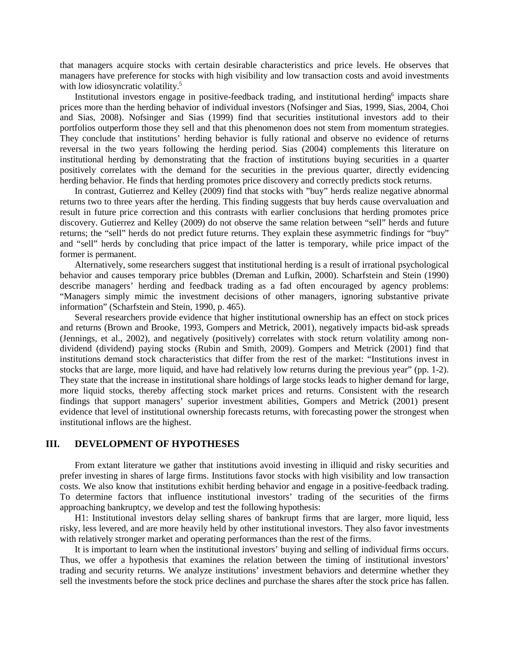that managers acquire stocks with certain desirable characteristics and price levels. He observes that managers have preference for stocks with high visibility and low transaction costs and avoid investments with low idiosyncratic volatility.<sup>5</sup>

Institutional investors engage in positive-feedback trading, and institutional herding<sup>6</sup> impacts share prices more than the herding behavior of individual investors (Nofsinger and Sias, 1999, Sias, 2004, Choi and Sias, 2008). Nofsinger and Sias (1999) find that securities institutional investors add to their portfolios outperform those they sell and that this phenomenon does not stem from momentum strategies. They conclude that institutions' herding behavior is fully rational and observe no evidence of returns reversal in the two years following the herding period. Sias (2004) complements this literature on institutional herding by demonstrating that the fraction of institutions buying securities in a quarter positively correlates with the demand for the securities in the previous quarter, directly evidencing herding behavior. He finds that herding promotes price discovery and correctly predicts stock returns.

In contrast, Gutierrez and Kelley (2009) find that stocks with "buy" herds realize negative abnormal returns two to three years after the herding. This finding suggests that buy herds cause overvaluation and result in future price correction and this contrasts with earlier conclusions that herding promotes price discovery. Gutierrez and Kelley (2009) do not observe the same relation between "sell" herds and future returns; the "sell" herds do not predict future returns. They explain these asymmetric findings for "buy" and "sell" herds by concluding that price impact of the latter is temporary, while price impact of the former is permanent.

Alternatively, some researchers suggest that institutional herding is a result of irrational psychological behavior and causes temporary price bubbles (Dreman and Lufkin, 2000). Scharfstein and Stein (1990) describe managers' herding and feedback trading as a fad often encouraged by agency problems: "Managers simply mimic the investment decisions of other managers, ignoring substantive private information" (Scharfstein and Stein, 1990, p. 465).

Several researchers provide evidence that higher institutional ownership has an effect on stock prices and returns (Brown and Brooke, 1993, Gompers and Metrick, 2001), negatively impacts bid-ask spreads (Jennings, et al., 2002), and negatively (positively) correlates with stock return volatility among nondividend (dividend) paying stocks (Rubin and Smith, 2009). Gompers and Metrick (2001) find that institutions demand stock characteristics that differ from the rest of the market: "Institutions invest in stocks that are large, more liquid, and have had relatively low returns during the previous year" (pp. 1-2). They state that the increase in institutional share holdings of large stocks leads to higher demand for large, more liquid stocks, thereby affecting stock market prices and returns. Consistent with the research findings that support managers' superior investment abilities, Gompers and Metrick (2001) present evidence that level of institutional ownership forecasts returns, with forecasting power the strongest when institutional inflows are the highest.

## **III. DEVELOPMENT OF HYPOTHESES**

From extant literature we gather that institutions avoid investing in illiquid and risky securities and prefer investing in shares of large firms. Institutions favor stocks with high visibility and low transaction costs. We also know that institutions exhibit herding behavior and engage in a positive-feedback trading. To determine factors that influence institutional investors' trading of the securities of the firms approaching bankruptcy, we develop and test the following hypothesis:

H1: Institutional investors delay selling shares of bankrupt firms that are larger, more liquid, less risky, less levered, and are more heavily held by other institutional investors. They also favor investments with relatively stronger market and operating performances than the rest of the firms.

It is important to learn when the institutional investors' buying and selling of individual firms occurs. Thus, we offer a hypothesis that examines the relation between the timing of institutional investors' trading and security returns. We analyze institutions' investment behaviors and determine whether they sell the investments before the stock price declines and purchase the shares after the stock price has fallen.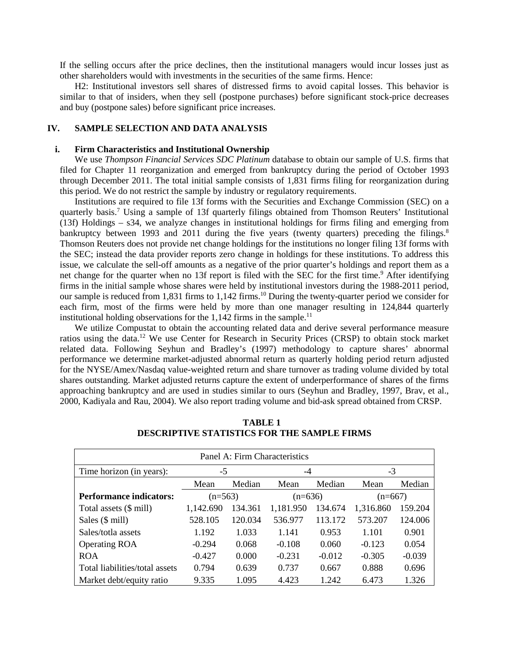If the selling occurs after the price declines, then the institutional managers would incur losses just as other shareholders would with investments in the securities of the same firms. Hence:

H2: Institutional investors sell shares of distressed firms to avoid capital losses. This behavior is similar to that of insiders, when they sell (postpone purchases) before significant stock-price decreases and buy (postpone sales) before significant price increases.

### **IV. SAMPLE SELECTION AND DATA ANALYSIS**

#### **i. Firm Characteristics and Institutional Ownership**

We use *Thompson Financial Services SDC Platinum* database to obtain our sample of U.S. firms that filed for Chapter 11 reorganization and emerged from bankruptcy during the period of October 1993 through December 2011. The total initial sample consists of 1,831 firms filing for reorganization during this period. We do not restrict the sample by industry or regulatory requirements.

Institutions are required to file 13f forms with the Securities and Exchange Commission (SEC) on a quarterly basis.7 Using a sample of 13f quarterly filings obtained from Thomson Reuters' Institutional (13f) Holdings – s34, we analyze changes in institutional holdings for firms filing and emerging from bankruptcy between 1993 and 2011 during the five years (twenty quarters) preceding the filings.<sup>8</sup> Thomson Reuters does not provide net change holdings for the institutions no longer filing 13f forms with the SEC; instead the data provider reports zero change in holdings for these institutions. To address this issue, we calculate the sell-off amounts as a negative of the prior quarter's holdings and report them as a net change for the quarter when no 13f report is filed with the SEC for the first time.<sup>9</sup> After identifying firms in the initial sample whose shares were held by institutional investors during the 1988-2011 period, our sample is reduced from 1,831 firms to 1,142 firms.<sup>10</sup> During the twenty-quarter period we consider for each firm, most of the firms were held by more than one manager resulting in 124,844 quarterly institutional holding observations for the  $1,142$  firms in the sample.<sup>11</sup>

We utilize Compustat to obtain the accounting related data and derive several performance measure ratios using the data.12 We use Center for Research in Security Prices (CRSP) to obtain stock market related data. Following Seyhun and Bradley's (1997) methodology to capture shares' abnormal performance we determine market-adjusted abnormal return as quarterly holding period return adjusted for the NYSE/Amex/Nasdaq value-weighted return and share turnover as trading volume divided by total shares outstanding. Market adjusted returns capture the extent of underperformance of shares of the firms approaching bankruptcy and are used in studies similar to ours (Seyhun and Bradley, 1997, Brav, et al., 2000, Kadiyala and Rau, 2004). We also report trading volume and bid-ask spread obtained from CRSP.

| Panel A: Firm Characteristics  |                |         |           |          |           |          |  |  |  |
|--------------------------------|----------------|---------|-----------|----------|-----------|----------|--|--|--|
| Time horizon (in years):       | $-5$           |         | $-4$      |          | $-3$      |          |  |  |  |
|                                | Median<br>Mean |         | Mean      | Median   | Mean      | Median   |  |  |  |
| <b>Performance indicators:</b> | $(n=563)$      |         | $(n=636)$ |          | $(n=667)$ |          |  |  |  |
| Total assets (\$ mill)         | 1,142.690      | 134.361 | 1,181.950 | 134.674  | 1,316.860 | 159.204  |  |  |  |
| Sales (\$ mill)                | 528.105        | 120.034 | 536.977   | 113.172  | 573.207   | 124.006  |  |  |  |
| Sales/totla assets             | 1.192          | 1.033   | 1.141     | 0.953    | 1.101     | 0.901    |  |  |  |
| <b>Operating ROA</b>           | $-0.294$       | 0.068   | $-0.108$  | 0.060    | $-0.123$  | 0.054    |  |  |  |
| <b>ROA</b>                     | $-0.427$       | 0.000   | $-0.231$  | $-0.012$ | $-0.305$  | $-0.039$ |  |  |  |
| Total liabilities/total assets | 0.794          | 0.639   | 0.737     | 0.667    | 0.888     | 0.696    |  |  |  |
| Market debt/equity ratio       | 9.335          | 1.095   | 4.423     | 1.242    | 6.473     | 1.326    |  |  |  |

**TABLE 1 DESCRIPTIVE STATISTICS FOR THE SAMPLE FIRMS**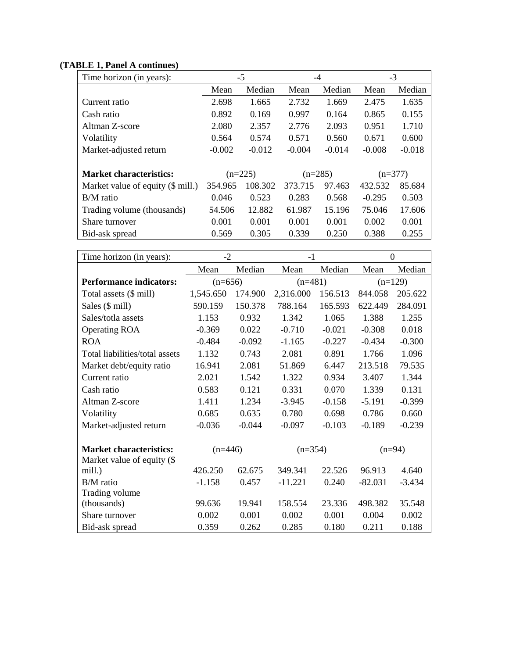# **(TABLE 1, Panel A continues)**

| Time horizon (in years):          | -5       |           | $-4$      |          | $-3$      |          |  |
|-----------------------------------|----------|-----------|-----------|----------|-----------|----------|--|
|                                   | Mean     | Median    | Mean      | Median   | Mean      | Median   |  |
| Current ratio                     | 2.698    | 1.665     | 2.732     | 1.669    | 2.475     | 1.635    |  |
| Cash ratio                        | 0.892    | 0.169     | 0.997     | 0.164    | 0.865     | 0.155    |  |
| Altman Z-score                    | 2.080    | 2.357     | 2.776     | 2.093    | 0.951     | 1.710    |  |
| Volatility                        | 0.564    | 0.574     | 0.571     | 0.560    | 0.671     | 0.600    |  |
| Market-adjusted return            | $-0.002$ | $-0.012$  | $-0.004$  | $-0.014$ | $-0.008$  | $-0.018$ |  |
|                                   |          |           |           |          |           |          |  |
| <b>Market characteristics:</b>    |          | $(n=225)$ | $(n=285)$ |          | $(n=377)$ |          |  |
| Market value of equity (\$ mill.) | 354.965  | 108.302   | 373.715   | 97.463   | 432.532   | 85.684   |  |
| B/M ratio                         | 0.046    | 0.523     | 0.283     | 0.568    | $-0.295$  | 0.503    |  |
| Trading volume (thousands)        | 54.506   | 12.882    | 61.987    | 15.196   | 75.046    | 17.606   |  |
| Share turnover                    | 0.001    | 0.001     | 0.001     | 0.001    | 0.002     | 0.001    |  |
| Bid-ask spread                    | 0.569    | 0.305     | 0.339     | 0.250    | 0.388     | 0.255    |  |

| Time horizon (in years):       | $-2$      |          | $-1$      |          | $\theta$  |          |
|--------------------------------|-----------|----------|-----------|----------|-----------|----------|
|                                | Mean      | Median   | Mean      | Median   | Mean      | Median   |
| <b>Performance indicators:</b> | $(n=656)$ |          | $(n=481)$ |          | $(n=129)$ |          |
| Total assets (\$ mill)         | 1,545.650 | 174.900  | 2,316.000 | 156.513  | 844.058   | 205.622  |
| Sales (\$ mill)                | 590.159   | 150.378  | 788.164   | 165.593  | 622.449   | 284.091  |
| Sales/totla assets             | 1.153     | 0.932    | 1.342     | 1.065    | 1.388     | 1.255    |
| <b>Operating ROA</b>           | $-0.369$  | 0.022    | $-0.710$  | $-0.021$ | $-0.308$  | 0.018    |
| <b>ROA</b>                     | $-0.484$  | $-0.092$ | $-1.165$  | $-0.227$ | $-0.434$  | $-0.300$ |
| Total liabilities/total assets | 1.132     | 0.743    | 2.081     | 0.891    | 1.766     | 1.096    |
| Market debt/equity ratio       | 16.941    | 2.081    | 51.869    | 6.447    | 213.518   | 79.535   |
| Current ratio                  | 2.021     | 1.542    | 1.322     | 0.934    | 3.407     | 1.344    |
| Cash ratio                     | 0.583     | 0.121    | 0.331     | 0.070    | 1.339     | 0.131    |
| Altman Z-score                 | 1.411     | 1.234    | $-3.945$  | $-0.158$ | $-5.191$  | $-0.399$ |
| Volatility                     | 0.685     | 0.635    | 0.780     | 0.698    | 0.786     | 0.660    |
| Market-adjusted return         | $-0.036$  | $-0.044$ | $-0.097$  | $-0.103$ | $-0.189$  | $-0.239$ |
| <b>Market characteristics:</b> | $(n=446)$ |          | $(n=354)$ |          | $(n=94)$  |          |
| Market value of equity (\$     |           |          |           |          |           |          |
| mill.)                         | 426.250   | 62.675   | 349.341   | 22.526   | 96.913    | 4.640    |
| B/M ratio                      | $-1.158$  | 0.457    | $-11.221$ | 0.240    | $-82.031$ | $-3.434$ |
| Trading volume                 |           |          |           |          |           |          |
| (thousands)                    | 99.636    | 19.941   | 158.554   | 23.336   | 498.382   | 35.548   |
| Share turnover                 | 0.002     | 0.001    | 0.002     | 0.001    | 0.004     | 0.002    |
| Bid-ask spread                 | 0.359     | 0.262    | 0.285     | 0.180    | 0.211     | 0.188    |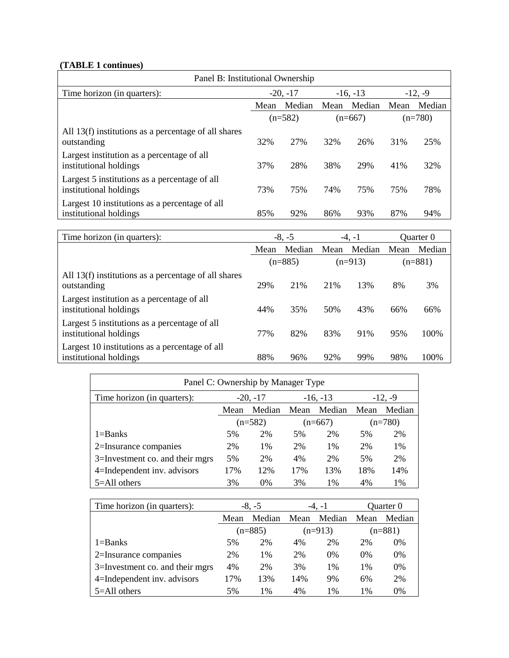# **(TABLE 1 continues)**

| Panel B: Institutional Ownership                                         |            |        |      |            |      |           |  |  |
|--------------------------------------------------------------------------|------------|--------|------|------------|------|-----------|--|--|
| Time horizon (in quarters):                                              | $-20, -17$ |        |      | $-16, -13$ |      | $-12, -9$ |  |  |
|                                                                          | Mean       | Median | Mean | Median     | Mean | Median    |  |  |
|                                                                          | $(n=582)$  |        |      | $(n=667)$  |      | $(n=780)$ |  |  |
| All 13(f) institutions as a percentage of all shares<br>outstanding      | 32%        | 27%    | 32%  | 26%        | 31%  | 25%       |  |  |
| Largest institution as a percentage of all<br>institutional holdings     | 37%        | 28%    | 38%  | 29%        | 41%  | 32%       |  |  |
| Largest 5 institutions as a percentage of all<br>institutional holdings  | 73%        | 75%    | 74%  | 75%        | 75%  | 78%       |  |  |
| Largest 10 institutions as a percentage of all<br>institutional holdings | 85%        | 92%    | 86%  | 93%        | 87%  | 94%       |  |  |

| Time horizon (in quarters):                                              | $-8, -5$ |           |      | $-4, -1$  | Ouarter 0 |           |
|--------------------------------------------------------------------------|----------|-----------|------|-----------|-----------|-----------|
|                                                                          | Mean     | Median    | Mean | Median    | Mean      | Median    |
|                                                                          |          | $(n=885)$ |      | $(n=913)$ |           | $(n=881)$ |
| All 13(f) institutions as a percentage of all shares<br>outstanding      | 29%      | 21%       | 21%  | 13%       | 8%        | 3%        |
| Largest institution as a percentage of all<br>institutional holdings     | 44%      | 35%       | 50%  | 43%       | 66%       | 66%       |
| Largest 5 institutions as a percentage of all<br>institutional holdings  | 77%      | 82%       | 83%  | 91%       | 95%       | 100%      |
| Largest 10 institutions as a percentage of all<br>institutional holdings | 88%      | 96%       | 92%  | 99%       | 98%       | 100%      |

| Panel C: Ownership by Manager Type |            |        |      |            |           |           |  |
|------------------------------------|------------|--------|------|------------|-----------|-----------|--|
| Time horizon (in quarters):        | $-20, -17$ |        |      | $-16, -13$ | $-12, -9$ |           |  |
|                                    | Mean       | Median | Mean | Median     | Mean      | Median    |  |
|                                    | $(n=582)$  |        |      | $(n=667)$  |           | $(n=780)$ |  |
| $1 =$ Banks                        | 5%         | 2%     | 5%   | 2%         | 5%        | 2%        |  |
| 2=Insurance companies              | 2%         | 1%     | 2%   | $1\%$      | 2%        | 1%        |  |
| 3=Investment co. and their mgrs    | 5%         | 2%     | 4%   | 2%         | 5%        | 2%        |  |
| 4=Independent inv. advisors        | 17%        | 12%    | 17%  | 13%        | 18%       | 14%       |  |
| 5=All others                       | 3%         | 0%     | 3%   | $1\%$      | 4%        | 1%        |  |

| Time horizon (in quarters):     | $-8, -5$       |       | -4. -1 |           | Quarter 0 |           |
|---------------------------------|----------------|-------|--------|-----------|-----------|-----------|
|                                 | Median<br>Mean |       | Mean   | Median    | Mean      | Median    |
|                                 | $(n=885)$      |       |        | $(n=913)$ |           | $(n=881)$ |
| $1 =$ Banks                     | 5%             | 2%    | 4%     | 2%        | 2%        | 0%        |
| 2=Insurance companies           | 2%             | $1\%$ | 2%     | $0\%$     | $0\%$     | 0%        |
| 3=Investment co. and their mgrs | 4%             | 2%    | 3%     | $1\%$     | 1%        | 0%        |
| 4=Independent inv. advisors     | 17%            | 13%   | 14%    | 9%        | 6%        | 2%        |
| $5 =$ All others                | $1\%$<br>5%    |       | 4%     | 1%        | 1%        | $0\%$     |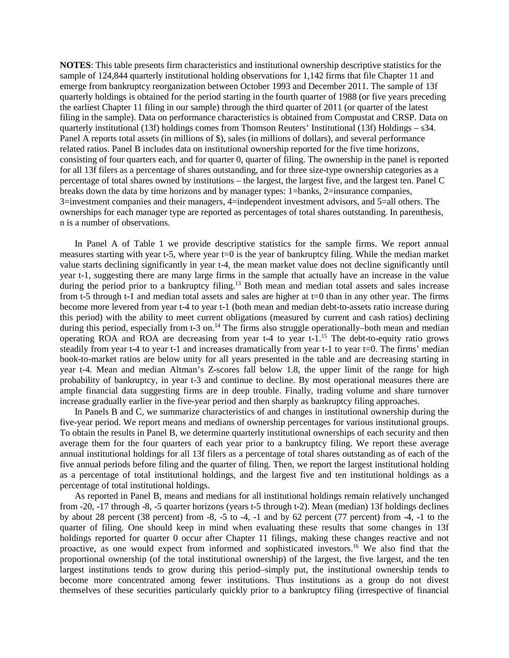**NOTES**: This table presents firm characteristics and institutional ownership descriptive statistics for the sample of 124,844 quarterly institutional holding observations for 1,142 firms that file Chapter 11 and emerge from bankruptcy reorganization between October 1993 and December 2011. The sample of 13f quarterly holdings is obtained for the period starting in the fourth quarter of 1988 (or five years preceding the earliest Chapter 11 filing in our sample) through the third quarter of 2011 (or quarter of the latest filing in the sample). Data on performance characteristics is obtained from Compustat and CRSP. Data on quarterly institutional (13f) holdings comes from Thomson Reuters' Institutional (13f) Holdings – s34. Panel A reports total assets (in millions of \$), sales (in millions of dollars), and several performance related ratios. Panel B includes data on institutional ownership reported for the five time horizons, consisting of four quarters each, and for quarter 0, quarter of filing. The ownership in the panel is reported for all 13f filers as a percentage of shares outstanding, and for three size-type ownership categories as a percentage of total shares owned by institutions – the largest, the largest five, and the largest ten. Panel C breaks down the data by time horizons and by manager types: 1=banks, 2=insurance companies, 3=investment companies and their managers, 4=independent investment advisors, and 5=all others. The ownerships for each manager type are reported as percentages of total shares outstanding. In parenthesis, n is a number of observations.

In Panel A of Table 1 we provide descriptive statistics for the sample firms. We report annual measures starting with year t-5, where year t=0 is the year of bankruptcy filing. While the median market value starts declining significantly in year t-4, the mean market value does not decline significantly until year t-1, suggesting there are many large firms in the sample that actually have an increase in the value during the period prior to a bankruptcy filing.<sup>13</sup> Both mean and median total assets and sales increase from t-5 through t-1 and median total assets and sales are higher at t=0 than in any other year. The firms become more levered from year t-4 to year t-1 (both mean and median debt-to-assets ratio increase during this period) with the ability to meet current obligations (measured by current and cash ratios) declining during this period, especially from t-3 on.<sup>14</sup> The firms also struggle operationally–both mean and median operating ROA and ROA are decreasing from year t-4 to year t-1.15 The debt-to-equity ratio grows steadily from year t-4 to year t-1 and increases dramatically from year t-1 to year t=0. The firms' median book-to-market ratios are below unity for all years presented in the table and are decreasing starting in year t-4. Mean and median Altman's Z-scores fall below 1.8, the upper limit of the range for high probability of bankruptcy, in year t-3 and continue to decline. By most operational measures there are ample financial data suggesting firms are in deep trouble. Finally, trading volume and share turnover increase gradually earlier in the five-year period and then sharply as bankruptcy filing approaches.

In Panels B and C, we summarize characteristics of and changes in institutional ownership during the five-year period. We report means and medians of ownership percentages for various institutional groups. To obtain the results in Panel B, we determine quarterly institutional ownerships of each security and then average them for the four quarters of each year prior to a bankruptcy filing. We report these average annual institutional holdings for all 13f filers as a percentage of total shares outstanding as of each of the five annual periods before filing and the quarter of filing. Then, we report the largest institutional holding as a percentage of total institutional holdings, and the largest five and ten institutional holdings as a percentage of total institutional holdings.

As reported in Panel B, means and medians for all institutional holdings remain relatively unchanged from -20, -17 through -8, -5 quarter horizons (years t-5 through t-2). Mean (median) 13f holdings declines by about 28 percent (38 percent) from -8, -5 to -4, -1 and by 62 percent (77 percent) from -4, -1 to the quarter of filing. One should keep in mind when evaluating these results that some changes in 13f holdings reported for quarter 0 occur after Chapter 11 filings, making these changes reactive and not proactive, as one would expect from informed and sophisticated investors.16 We also find that the proportional ownership (of the total institutional ownership) of the largest, the five largest, and the ten largest institutions tends to grow during this period–simply put, the institutional ownership tends to become more concentrated among fewer institutions. Thus institutions as a group do not divest themselves of these securities particularly quickly prior to a bankruptcy filing (irrespective of financial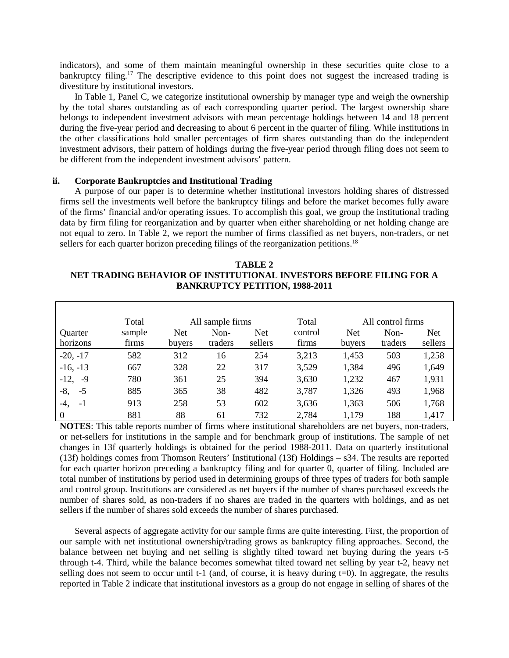indicators), and some of them maintain meaningful ownership in these securities quite close to a bankruptcy filing.<sup>17</sup> The descriptive evidence to this point does not suggest the increased trading is divestiture by institutional investors.

In Table 1, Panel C, we categorize institutional ownership by manager type and weigh the ownership by the total shares outstanding as of each corresponding quarter period. The largest ownership share belongs to independent investment advisors with mean percentage holdings between 14 and 18 percent during the five-year period and decreasing to about 6 percent in the quarter of filing. While institutions in the other classifications hold smaller percentages of firm shares outstanding than do the independent investment advisors, their pattern of holdings during the five-year period through filing does not seem to be different from the independent investment advisors' pattern.

## **ii. Corporate Bankruptcies and Institutional Trading**

A purpose of our paper is to determine whether institutional investors holding shares of distressed firms sell the investments well before the bankruptcy filings and before the market becomes fully aware of the firms' financial and/or operating issues. To accomplish this goal, we group the institutional trading data by firm filing for reorganization and by quarter when either shareholding or net holding change are not equal to zero. In Table 2, we report the number of firms classified as net buyers, non-traders, or net sellers for each quarter horizon preceding filings of the reorganization petitions.<sup>18</sup>

## **TABLE 2 NET TRADING BEHAVIOR OF INSTITUTIONAL INVESTORS BEFORE FILING FOR A BANKRUPTCY PETITION, 1988-2011**

|                | Total  |            | All sample firms |         | Total   |            | All control firms |            |
|----------------|--------|------------|------------------|---------|---------|------------|-------------------|------------|
| <b>Ouarter</b> | sample | <b>Net</b> | Non-             | Net     | control | <b>Net</b> | Non-              | <b>Net</b> |
| horizons       | firms  | buyers     | traders          | sellers | firms   | buyers     | traders           | sellers    |
| $-20, -17$     | 582    | 312        | 16               | 254     | 3,213   | 1,453      | 503               | 1,258      |
| $-16, -13$     | 667    | 328        | 22               | 317     | 3,529   | 1,384      | 496               | 1,649      |
| $-12,$<br>-9   | 780    | 361        | 25               | 394     | 3,630   | 1,232      | 467               | 1,931      |
| $-5$<br>-8,    | 885    | 365        | 38               | 482     | 3,787   | 1,326      | 493               | 1,968      |
| $-1$<br>-4.    | 913    | 258        | 53               | 602     | 3,636   | 1,363      | 506               | 1,768      |
| $\theta$       | 881    | 88         | 61               | 732     | 2,784   | 1,179      | 188               | 1,417      |

**NOTES**: This table reports number of firms where institutional shareholders are net buyers, non-traders, or net-sellers for institutions in the sample and for benchmark group of institutions. The sample of net changes in 13f quarterly holdings is obtained for the period 1988-2011. Data on quarterly institutional (13f) holdings comes from Thomson Reuters' Institutional (13f) Holdings – s34. The results are reported for each quarter horizon preceding a bankruptcy filing and for quarter 0, quarter of filing. Included are total number of institutions by period used in determining groups of three types of traders for both sample and control group. Institutions are considered as net buyers if the number of shares purchased exceeds the number of shares sold, as non-traders if no shares are traded in the quarters with holdings, and as net sellers if the number of shares sold exceeds the number of shares purchased.

Several aspects of aggregate activity for our sample firms are quite interesting. First, the proportion of our sample with net institutional ownership/trading grows as bankruptcy filing approaches. Second, the balance between net buying and net selling is slightly tilted toward net buying during the years t-5 through t-4. Third, while the balance becomes somewhat tilted toward net selling by year t-2, heavy net selling does not seem to occur until t-1 (and, of course, it is heavy during t=0). In aggregate, the results reported in Table 2 indicate that institutional investors as a group do not engage in selling of shares of the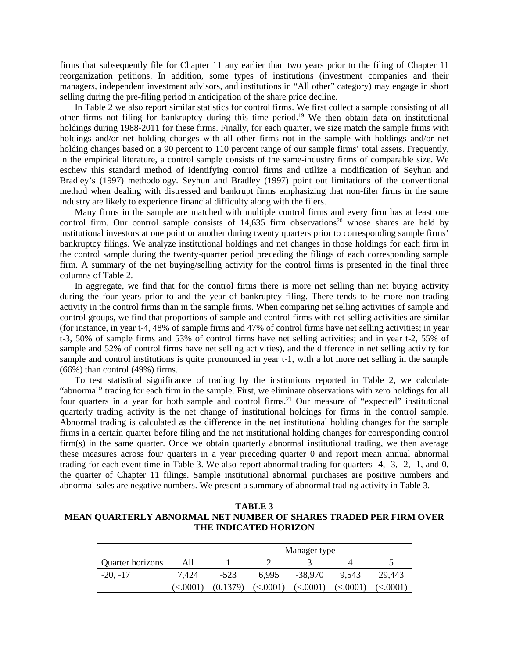firms that subsequently file for Chapter 11 any earlier than two years prior to the filing of Chapter 11 reorganization petitions. In addition, some types of institutions (investment companies and their managers, independent investment advisors, and institutions in "All other" category) may engage in short selling during the pre-filing period in anticipation of the share price decline.

In Table 2 we also report similar statistics for control firms. We first collect a sample consisting of all other firms not filing for bankruptcy during this time period.19 We then obtain data on institutional holdings during 1988-2011 for these firms. Finally, for each quarter, we size match the sample firms with holdings and/or net holding changes with all other firms not in the sample with holdings and/or net holding changes based on a 90 percent to 110 percent range of our sample firms' total assets. Frequently, in the empirical literature, a control sample consists of the same-industry firms of comparable size. We eschew this standard method of identifying control firms and utilize a modification of Seyhun and Bradley's (1997) methodology. Seyhun and Bradley (1997) point out limitations of the conventional method when dealing with distressed and bankrupt firms emphasizing that non-filer firms in the same industry are likely to experience financial difficulty along with the filers.

Many firms in the sample are matched with multiple control firms and every firm has at least one control firm. Our control sample consists of  $14,635$  firm observations<sup>20</sup> whose shares are held by institutional investors at one point or another during twenty quarters prior to corresponding sample firms' bankruptcy filings. We analyze institutional holdings and net changes in those holdings for each firm in the control sample during the twenty-quarter period preceding the filings of each corresponding sample firm. A summary of the net buying/selling activity for the control firms is presented in the final three columns of Table 2.

In aggregate, we find that for the control firms there is more net selling than net buying activity during the four years prior to and the year of bankruptcy filing. There tends to be more non-trading activity in the control firms than in the sample firms. When comparing net selling activities of sample and control groups, we find that proportions of sample and control firms with net selling activities are similar (for instance, in year t-4, 48% of sample firms and 47% of control firms have net selling activities; in year t-3, 50% of sample firms and 53% of control firms have net selling activities; and in year t-2, 55% of sample and 52% of control firms have net selling activities), and the difference in net selling activity for sample and control institutions is quite pronounced in year t-1, with a lot more net selling in the sample  $(66\%)$  than control  $(49\%)$  firms.

To test statistical significance of trading by the institutions reported in Table 2, we calculate "abnormal" trading for each firm in the sample. First, we eliminate observations with zero holdings for all four quarters in a year for both sample and control firms.<sup>21</sup> Our measure of "expected" institutional quarterly trading activity is the net change of institutional holdings for firms in the control sample. Abnormal trading is calculated as the difference in the net institutional holding changes for the sample firms in a certain quarter before filing and the net institutional holding changes for corresponding control firm(s) in the same quarter. Once we obtain quarterly abnormal institutional trading, we then average these measures across four quarters in a year preceding quarter 0 and report mean annual abnormal trading for each event time in Table 3. We also report abnormal trading for quarters -4, -3, -2, -1, and 0, the quarter of Chapter 11 filings. Sample institutional abnormal purchases are positive numbers and abnormal sales are negative numbers. We present a summary of abnormal trading activity in Table 3.

**TABLE 3 MEAN QUARTERLY ABNORMAL NET NUMBER OF SHARES TRADED PER FIRM OVER THE INDICATED HORIZON**

|                  |             | Manager type |          |          |          |          |  |
|------------------|-------------|--------------|----------|----------|----------|----------|--|
| Quarter horizons | All         |              |          |          |          |          |  |
| $-20, -17$       | 7.424       | $-523$       | 6.995    | -38,970  | 9.543    | 29.443   |  |
|                  | $\leq 0001$ | (0.1379)     | (<.0001) | (<.0001) | (<.0001) | (<.0001) |  |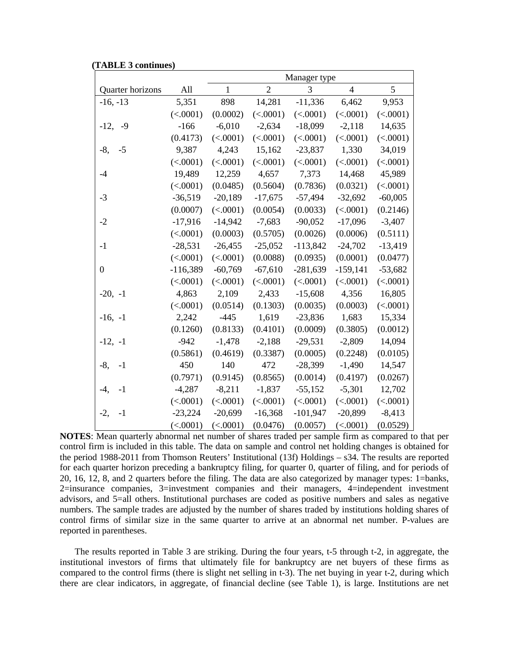| (TABLE 3 continues) |  |
|---------------------|--|
|---------------------|--|

|                  |            |              |                | Manager type |                |           |
|------------------|------------|--------------|----------------|--------------|----------------|-----------|
| Quarter horizons | All        | $\mathbf{1}$ | $\overline{2}$ | 3            | $\overline{4}$ | 5         |
| $-16, -13$       | 5,351      | 898          | 14,281         | $-11,336$    | 6,462          | 9,953     |
|                  | (<.0001)   | (0.0002)     | (<.0001)       | (<.0001)     | (<.0001)       | (<.0001)  |
| $-12,$<br>-9     | $-166$     | $-6,010$     | $-2,634$       | $-18,099$    | $-2,118$       | 14,635    |
|                  | (0.4173)   | (<.0001)     | (<.0001)       | (<.0001)     | (<.0001)       | (<.0001)  |
| $-8,$<br>$-5$    | 9,387      | 4,243        | 15,162         | $-23,837$    | 1,330          | 34,019    |
|                  | (<.0001)   | (<.0001)     | (<.0001)       | (<.0001)     | (<.0001)       | (<.0001)  |
| $-4$             | 19,489     | 12,259       | 4,657          | 7,373        | 14,468         | 45,989    |
|                  | (<.0001)   | (0.0485)     | (0.5604)       | (0.7836)     | (0.0321)       | (<.0001)  |
| $-3$             | $-36,519$  | $-20,189$    | $-17,675$      | $-57,494$    | $-32,692$      | $-60,005$ |
|                  | (0.0007)   | (<.0001)     | (0.0054)       | (0.0033)     | (<.0001)       | (0.2146)  |
| $-2$             | $-17,916$  | $-14,942$    | $-7,683$       | $-90,052$    | $-17,096$      | $-3,407$  |
|                  | (<.0001)   | (0.0003)     | (0.5705)       | (0.0026)     | (0.0006)       | (0.5111)  |
| $-1$             | $-28,531$  | $-26,455$    | $-25,052$      | $-113,842$   | $-24,702$      | $-13,419$ |
|                  | (<.0001)   | (<.0001)     | (0.0088)       | (0.0935)     | (0.0001)       | (0.0477)  |
| $\boldsymbol{0}$ | $-116,389$ | $-60,769$    | $-67,610$      | $-281,639$   | $-159,141$     | $-53,682$ |
|                  | (<.0001)   | (<.0001)     | (<.0001)       | (<.0001)     | (<.0001)       | (<.0001)  |
| $-20, -1$        | 4,863      | 2,109        | 2,433          | $-15,608$    | 4,356          | 16,805    |
|                  | (<.0001)   | (0.0514)     | (0.1303)       | (0.0035)     | (0.0003)       | (<.0001)  |
| $-16, -1$        | 2,242      | $-445$       | 1,619          | $-23,836$    | 1,683          | 15,334    |
|                  | (0.1260)   | (0.8133)     | (0.4101)       | (0.0009)     | (0.3805)       | (0.0012)  |
| $-12, -1$        | $-942$     | $-1,478$     | $-2,188$       | $-29,531$    | $-2,809$       | 14,094    |
|                  | (0.5861)   | (0.4619)     | (0.3387)       | (0.0005)     | (0.2248)       | (0.0105)  |
| $-8,$<br>$-1$    | 450        | 140          | 472            | $-28,399$    | $-1,490$       | 14,547    |
|                  | (0.7971)   | (0.9145)     | (0.8565)       | (0.0014)     | (0.4197)       | (0.0267)  |
| $-1$<br>$-4.$    | $-4,287$   | $-8,211$     | $-1,837$       | $-55,152$    | $-5,301$       | 12,702    |
|                  | (<.0001)   | (<.0001)     | (<.0001)       | (<.0001)     | (<.0001)       | (<.0001)  |
| $-2,$<br>$-1$    | $-23,224$  | $-20,699$    | $-16,368$      | $-101,947$   | $-20,899$      | $-8,413$  |
|                  | (<.0001)   | (<.0001)     | (0.0476)       | (0.0057)     | (<.0001)       | (0.0529)  |

**NOTES**: Mean quarterly abnormal net number of shares traded per sample firm as compared to that per control firm is included in this table. The data on sample and control net holding changes is obtained for the period 1988-2011 from Thomson Reuters' Institutional (13f) Holdings – s34. The results are reported for each quarter horizon preceding a bankruptcy filing, for quarter 0, quarter of filing, and for periods of 20, 16, 12, 8, and 2 quarters before the filing. The data are also categorized by manager types: 1=banks, 2=insurance companies, 3=investment companies and their managers, 4=independent investment advisors, and 5=all others. Institutional purchases are coded as positive numbers and sales as negative numbers. The sample trades are adjusted by the number of shares traded by institutions holding shares of control firms of similar size in the same quarter to arrive at an abnormal net number. P-values are reported in parentheses.

The results reported in Table 3 are striking. During the four years, t-5 through t-2, in aggregate, the institutional investors of firms that ultimately file for bankruptcy are net buyers of these firms as compared to the control firms (there is slight net selling in t-3). The net buying in year t-2, during which there are clear indicators, in aggregate, of financial decline (see Table 1), is large. Institutions are net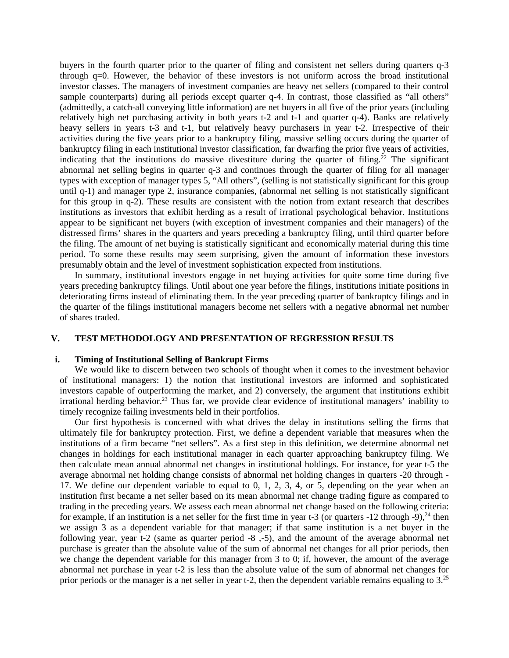buyers in the fourth quarter prior to the quarter of filing and consistent net sellers during quarters q-3 through q=0. However, the behavior of these investors is not uniform across the broad institutional investor classes. The managers of investment companies are heavy net sellers (compared to their control sample counterparts) during all periods except quarter q-4. In contrast, those classified as "all others" (admittedly, a catch-all conveying little information) are net buyers in all five of the prior years (including relatively high net purchasing activity in both years t-2 and t-1 and quarter q-4). Banks are relatively heavy sellers in years t-3 and t-1, but relatively heavy purchasers in year t-2. Irrespective of their activities during the five years prior to a bankruptcy filing, massive selling occurs during the quarter of bankruptcy filing in each institutional investor classification, far dwarfing the prior five years of activities, indicating that the institutions do massive divestiture during the quarter of filing.<sup>22</sup> The significant abnormal net selling begins in quarter q-3 and continues through the quarter of filing for all manager types with exception of manager types 5, "All others", (selling is not statistically significant for this group until q-1) and manager type 2, insurance companies, (abnormal net selling is not statistically significant for this group in q-2). These results are consistent with the notion from extant research that describes institutions as investors that exhibit herding as a result of irrational psychological behavior. Institutions appear to be significant net buyers (with exception of investment companies and their managers) of the distressed firms' shares in the quarters and years preceding a bankruptcy filing, until third quarter before the filing. The amount of net buying is statistically significant and economically material during this time period. To some these results may seem surprising, given the amount of information these investors presumably obtain and the level of investment sophistication expected from institutions.

In summary, institutional investors engage in net buying activities for quite some time during five years preceding bankruptcy filings. Until about one year before the filings, institutions initiate positions in deteriorating firms instead of eliminating them. In the year preceding quarter of bankruptcy filings and in the quarter of the filings institutional managers become net sellers with a negative abnormal net number of shares traded.

## **V. TEST METHODOLOGY AND PRESENTATION OF REGRESSION RESULTS**

### **i. Timing of Institutional Selling of Bankrupt Firms**

We would like to discern between two schools of thought when it comes to the investment behavior of institutional managers: 1) the notion that institutional investors are informed and sophisticated investors capable of outperforming the market, and 2) conversely, the argument that institutions exhibit irrational herding behavior.<sup>23</sup> Thus far, we provide clear evidence of institutional managers' inability to timely recognize failing investments held in their portfolios.

Our first hypothesis is concerned with what drives the delay in institutions selling the firms that ultimately file for bankruptcy protection. First, we define a dependent variable that measures when the institutions of a firm became "net sellers". As a first step in this definition, we determine abnormal net changes in holdings for each institutional manager in each quarter approaching bankruptcy filing. We then calculate mean annual abnormal net changes in institutional holdings. For instance, for year t-5 the average abnormal net holding change consists of abnormal net holding changes in quarters -20 through - 17. We define our dependent variable to equal to 0, 1, 2, 3, 4, or 5, depending on the year when an institution first became a net seller based on its mean abnormal net change trading figure as compared to trading in the preceding years. We assess each mean abnormal net change based on the following criteria: for example, if an institution is a net seller for the first time in year t-3 (or quarters -12 through -9),  $^{24}$  then we assign 3 as a dependent variable for that manager; if that same institution is a net buyer in the following year, year t-2 (same as quarter period -8 ,-5), and the amount of the average abnormal net purchase is greater than the absolute value of the sum of abnormal net changes for all prior periods, then we change the dependent variable for this manager from 3 to 0; if, however, the amount of the average abnormal net purchase in year t-2 is less than the absolute value of the sum of abnormal net changes for prior periods or the manager is a net seller in year t-2, then the dependent variable remains equaling to 3.25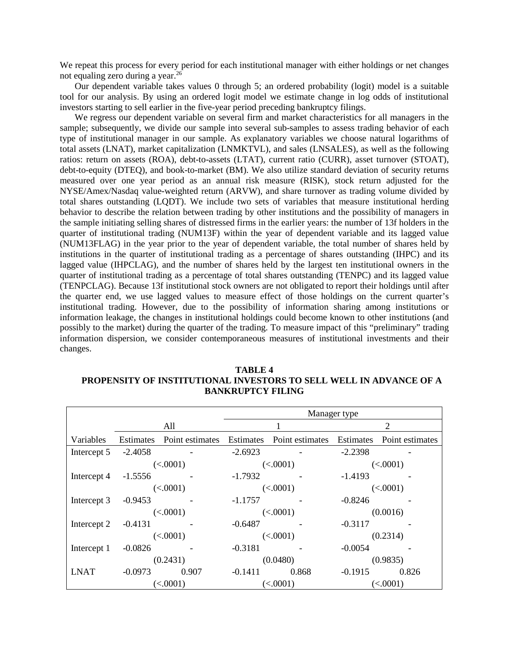We repeat this process for every period for each institutional manager with either holdings or net changes not equaling zero during a year.26

Our dependent variable takes values 0 through 5; an ordered probability (logit) model is a suitable tool for our analysis. By using an ordered logit model we estimate change in log odds of institutional investors starting to sell earlier in the five-year period preceding bankruptcy filings.

We regress our dependent variable on several firm and market characteristics for all managers in the sample; subsequently, we divide our sample into several sub-samples to assess trading behavior of each type of institutional manager in our sample. As explanatory variables we choose natural logarithms of total assets (LNAT), market capitalization (LNMKTVL), and sales (LNSALES), as well as the following ratios: return on assets (ROA), debt-to-assets (LTAT), current ratio (CURR), asset turnover (STOAT), debt-to-equity (DTEQ), and book-to-market (BM). We also utilize standard deviation of security returns measured over one year period as an annual risk measure (RISK), stock return adjusted for the NYSE/Amex/Nasdaq value-weighted return (ARVW), and share turnover as trading volume divided by total shares outstanding (LQDT). We include two sets of variables that measure institutional herding behavior to describe the relation between trading by other institutions and the possibility of managers in the sample initiating selling shares of distressed firms in the earlier years: the number of 13f holders in the quarter of institutional trading (NUM13F) within the year of dependent variable and its lagged value (NUM13FLAG) in the year prior to the year of dependent variable, the total number of shares held by institutions in the quarter of institutional trading as a percentage of shares outstanding (IHPC) and its lagged value (IHPCLAG), and the number of shares held by the largest ten institutional owners in the quarter of institutional trading as a percentage of total shares outstanding (TENPC) and its lagged value (TENPCLAG). Because 13f institutional stock owners are not obligated to report their holdings until after the quarter end, we use lagged values to measure effect of those holdings on the current quarter's institutional trading. However, due to the possibility of information sharing among institutions or information leakage, the changes in institutional holdings could become known to other institutions (and possibly to the market) during the quarter of the trading. To measure impact of this "preliminary" trading information dispersion, we consider contemporaneous measures of institutional investments and their changes.

|             |           |                 |           |                 | Manager type |                 |
|-------------|-----------|-----------------|-----------|-----------------|--------------|-----------------|
|             |           | All             |           |                 |              | $\overline{2}$  |
| Variables   | Estimates | Point estimates | Estimates | Point estimates | Estimates    | Point estimates |
| Intercept 5 | $-2.4058$ |                 | $-2.6923$ |                 | $-2.2398$    |                 |
|             |           | (<.0001)        |           | (<.0001)        |              | (<.0001)        |
| Intercept 4 | $-1.5556$ |                 | $-1.7932$ |                 | $-1.4193$    |                 |
|             | (<.0001)  |                 | (<.0001)  |                 | (<.0001)     |                 |
| Intercept 3 | $-0.9453$ |                 | $-1.1757$ |                 | $-0.8246$    |                 |
|             |           | (<.0001)        | (<.0001)  |                 | (0.0016)     |                 |
| Intercept 2 | $-0.4131$ |                 | $-0.6487$ |                 | $-0.3117$    |                 |
|             |           | (<.0001)        |           | (<.0001)        |              | (0.2314)        |
| Intercept 1 | $-0.0826$ |                 | $-0.3181$ |                 | $-0.0054$    |                 |
|             |           | (0.2431)        |           | (0.0480)        | (0.9835)     |                 |
| <b>LNAT</b> | $-0.0973$ | 0.907           | $-0.1411$ | 0.868           | $-0.1915$    | 0.826           |
|             |           | (<.0001)        |           | (<.0001)        | (<.0001)     |                 |

**TABLE 4 PROPENSITY OF INSTITUTIONAL INVESTORS TO SELL WELL IN ADVANCE OF A BANKRUPTCY FILING**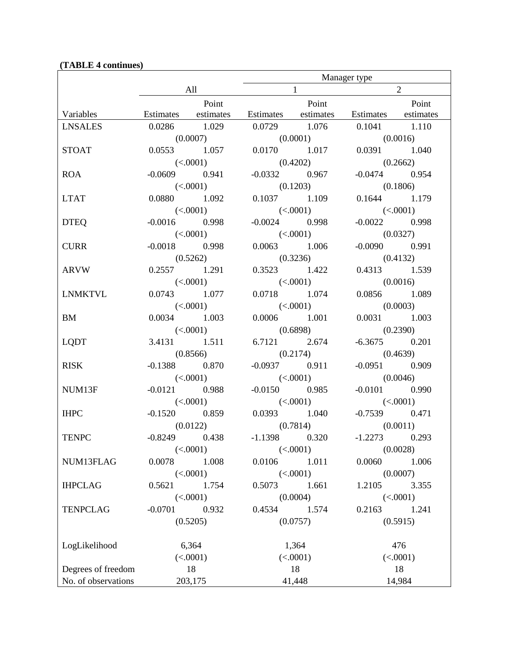|                     |                 |                     | Manager type        |              |                     |                |
|---------------------|-----------------|---------------------|---------------------|--------------|---------------------|----------------|
|                     |                 | All                 |                     | $\mathbf{1}$ |                     | $\overline{2}$ |
|                     |                 | Point               |                     | Point        |                     | Point          |
| Variables           |                 | Estimates estimates | Estimates estimates |              | Estimates estimates |                |
| <b>LNSALES</b>      | 0.0286 1.029    |                     | 0.0729 1.076        |              | 0.1041 1.110        |                |
|                     | (0.0007)        |                     | (0.0001)            |              | (0.0016)            |                |
| <b>STOAT</b>        | 0.0553 1.057    |                     | 0.0170 1.017        |              | 0.0391 1.040        |                |
|                     | (<.0001)        |                     | (0.4202)            |              | (0.2662)            |                |
| <b>ROA</b>          | $-0.0609$ 0.941 |                     | $-0.0332$ 0.967     |              | $-0.0474$ 0.954     |                |
|                     | (<.0001)        |                     | (0.1203)            |              | (0.1806)            |                |
| <b>LTAT</b>         | $0.0880$ 1.092  |                     | $0.1037$ 1.109      |              | 0.1644 1.179        |                |
|                     |                 | (<.0001)            | (<.0001)            |              | (<.0001)            |                |
| <b>DTEQ</b>         | $-0.0016$ 0.998 |                     | $-0.0024$ 0.998     |              | $-0.0022$ 0.998     |                |
|                     | (<.0001)        |                     | (<.0001)            |              | (0.0327)            |                |
| <b>CURR</b>         | $-0.0018$ 0.998 |                     | 0.0063 1.006        |              | $-0.0090$ 0.991     |                |
|                     | (0.5262)        |                     | (0.3236)            |              | (0.4132)            |                |
| ARVW                | 0.2557 1.291    |                     | 0.3523 1.422        |              | 0.4313 1.539        |                |
|                     | (<.0001)        |                     | (<.0001)            |              | (0.0016)            |                |
| <b>LNMKTVL</b>      | $0.0743$ 1.077  |                     | 0.0718 1.074        |              | 0.0856 1.089        |                |
|                     | (<.0001)        |                     | (<.0001)            |              | (0.0003)            |                |
| BM                  | 0.0034 1.003    |                     | $0.0006$ 1.001      |              | 0.0031 1.003        |                |
|                     | (<.0001)        |                     | (0.6898)            |              | (0.2390)            |                |
| <b>LQDT</b>         | 3.4131 1.511    |                     | 6.7121 2.674        |              | $-6.3675$ 0.201     |                |
|                     |                 | (0.8566)            | (0.2174)            |              | (0.4639)            |                |
| <b>RISK</b>         | $-0.1388$ 0.870 |                     | $-0.0937$ 0.911     |              | $-0.0951$ 0.909     |                |
|                     | (<.0001)        |                     | (<.0001)            |              | (0.0046)            |                |
| NUM13F              | $-0.0121$ 0.988 |                     | $-0.0150$ 0.985     |              | $-0.0101$ 0.990     |                |
|                     | (<.0001)        |                     | (<.0001)            |              | (<.0001)            |                |
| <b>IHPC</b>         | $-0.1520$ 0.859 |                     | 0.0393 1.040        |              | $-0.7539$ 0.471     |                |
|                     | (0.0122)        |                     | (0.7814)            |              | (0.0011)            |                |
| <b>TENPC</b>        | $-0.8249$ 0.438 |                     | $-1.1398$ 0.320     |              | $-1.2273$ 0.293     |                |
|                     |                 | (<.0001)            |                     | (<.0001)     |                     | (0.0028)       |
| NUM13FLAG           | 0.0078          | 1.008               | 0.0106              | 1.011        | 0.0060              | 1.006          |
|                     |                 | (<.0001)            |                     | (<.0001)     |                     | (0.0007)       |
| <b>IHPCLAG</b>      | 0.5621          | 1.754               | 0.5073              | 1.661        | 1.2105              | 3.355          |
|                     |                 | (<.0001)            |                     | (0.0004)     |                     | (<.0001)       |
| <b>TENPCLAG</b>     | $-0.0701$       | 0.932               | 0.4534              | 1.574        | 0.2163              | 1.241          |
|                     |                 | (0.5205)            |                     | (0.0757)     |                     | (0.5915)       |
|                     |                 |                     |                     |              |                     |                |
| LogLikelihood       |                 | 6,364               |                     | 1,364        |                     | 476            |
|                     |                 | (<.0001)            |                     | (<.0001)     |                     | (<.0001)       |
| Degrees of freedom  |                 | 18                  |                     | 18           |                     | 18             |
| No. of observations |                 | 203,175             |                     | 41,448       |                     | 14,984         |

# **(TABLE 4 continues)**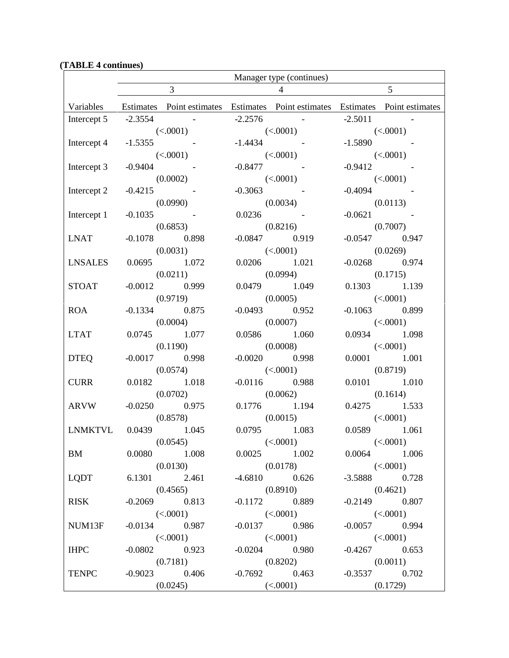|                         | Manager type (continues) |                                                                                         |                |                             |               |                             |
|-------------------------|--------------------------|-----------------------------------------------------------------------------------------|----------------|-----------------------------|---------------|-----------------------------|
|                         |                          | 3                                                                                       | $\overline{4}$ |                             |               | $\overline{5}$              |
|                         |                          | Variables Estimates Point estimates Estimates Point estimates Estimates Point estimates |                |                             |               |                             |
| Intercept 5 $-2.3554$ - |                          |                                                                                         |                | $-2.2576$ -                 | $-2.5011$ -   |                             |
|                         | (<.0001)                 |                                                                                         |                | (<.0001)                    | (<.0001)      |                             |
| Intercept 4             |                          | $-1.5355$ -                                                                             |                | $-1.4434$ $-$               | $-1.5890$ -   |                             |
|                         |                          | (<.0001)                                                                                |                | (<.0001)                    | (<.0001)      |                             |
| Intercept 3             | $-0.9404$ $-$            |                                                                                         |                | $-0.8477$ -                 | $-0.9412$ -   |                             |
|                         |                          | (0.0002)                                                                                |                | (<.0001)                    | (<.0001)      |                             |
| Intercept 2             | $-0.4215$ -              |                                                                                         | $-0.3063$ -    |                             | $-0.4094$ $-$ |                             |
|                         | (0.0990)                 |                                                                                         | (0.0034)       |                             | (0.0113)      |                             |
| Intercept 1             | $-0.1035$ -              |                                                                                         |                | $0.0236$ -                  | $-0.0621$ -   |                             |
|                         |                          | (0.6853)                                                                                |                | (0.8216)                    |               | (0.7007)                    |
| <b>LNAT</b>             |                          | $-0.1078$ 0.898                                                                         |                | $-0.0847$ 0.919             |               | $-0.0547$ 0.947             |
| <b>LNSALES</b>          |                          | (0.0031)<br>0.0695 1.072                                                                |                | (<.0001)<br>0.0206 1.021    |               | (0.0269)<br>$-0.0268$ 0.974 |
|                         |                          | (0.0211)                                                                                |                | (0.0994)                    |               | (0.1715)                    |
| <b>STOAT</b>            |                          | $-0.0012$ 0.999                                                                         |                | 0.0479 1.049                |               | 0.1303 1.139                |
|                         |                          | (0.9719)                                                                                |                | (0.0005)                    |               | (<.0001)                    |
| ROA                     |                          | $-0.1334$ 0.875                                                                         |                | $-0.0493$ 0.952             |               | $-0.1063$ 0.899             |
|                         |                          | (0.0004)                                                                                |                | (0.0007)                    |               | (<.0001)                    |
| <b>LTAT</b>             |                          | $0.0745$ 1.077                                                                          |                | $0.0586$ 1.060              |               | 0.0934 1.098                |
|                         |                          | (0.1190)                                                                                |                | (0.0008)                    |               | (<.0001)                    |
| <b>DTEQ</b>             |                          | $-0.0017$ 0.998                                                                         |                | $-0.0020$ 0.998             |               | $0.0001$ 1.001              |
|                         |                          | (0.0574)                                                                                |                | (<.0001)                    |               | (0.8719)                    |
| <b>CURR</b>             |                          | 0.0182 1.018                                                                            |                | $-0.0116$ 0.988             |               | $0.0101$ 1.010              |
|                         |                          | (0.0702)                                                                                |                | (0.0062)                    |               | (0.1614)                    |
| ARVW                    |                          | $-0.0250$ 0.975                                                                         |                | 0.1776 1.194                |               | 0.4275 1.533                |
|                         |                          | (0.8578)                                                                                |                | (0.0015)                    |               | (<.0001)                    |
| LNMKTVL 0.0439 1.045    |                          |                                                                                         |                | $0.0795$ 1.083              |               | $0.0589$ 1.061              |
|                         |                          | (0.0545)                                                                                |                | (<.0001)                    |               | (<.0001)                    |
| BM                      |                          | 0.0080 1.008                                                                            |                | $0.0025$ 1.002              |               | 0.0064 1.006                |
|                         |                          | (0.0130)                                                                                |                | (0.0178)                    |               | (<.0001)                    |
| <b>LQDT</b>             |                          | 6.1301 2.461                                                                            |                | $-4.6810$ 0.626             |               | $-3.5888$ 0.728             |
|                         |                          | (0.4565)                                                                                |                | (0.8910)                    |               | (0.4621)                    |
| <b>RISK</b>             |                          | $-0.2069$ 0.813                                                                         |                | $-0.1172$ 0.889             |               | $-0.2149$ 0.807             |
| NUM13F                  |                          | (<.0001)<br>$-0.0134$ 0.987                                                             |                | (<.0001)<br>$-0.0137$ 0.986 |               | (<.0001)<br>$-0.0057$ 0.994 |
|                         |                          | (<.0001)                                                                                |                | (<.0001)                    |               | (<.0001)                    |
| <b>IHPC</b>             |                          | $-0.0802$ 0.923                                                                         |                | $-0.0204$ 0.980             |               | $-0.4267$ 0.653             |
|                         |                          | (0.7181)                                                                                |                | (0.8202)                    |               | (0.0011)                    |
| <b>TENPC</b>            |                          | $-0.9023$ 0.406                                                                         |                | $-0.7692$ 0.463             |               | $-0.3537$ 0.702             |
|                         |                          | (0.0245)                                                                                |                | (<.0001)                    | (0.1729)      |                             |

# **(TABLE 4 continues)**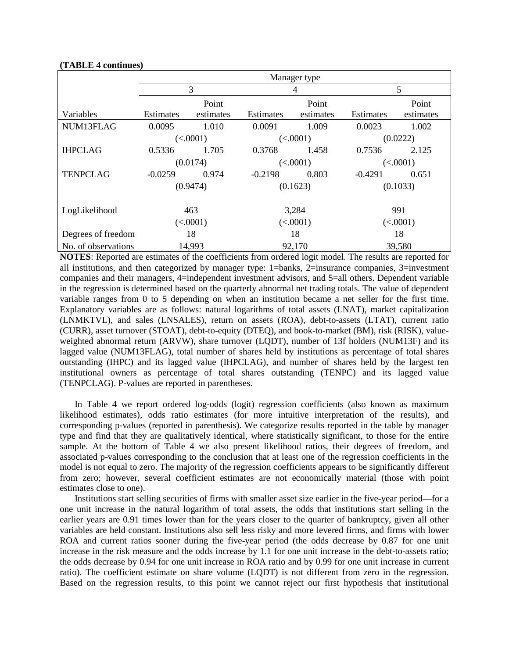#### **(TABLE 4 continues)**

|                     | Manager type |           |                  |           |                  |           |  |
|---------------------|--------------|-----------|------------------|-----------|------------------|-----------|--|
|                     |              | 3         |                  | 4         | 5                |           |  |
|                     |              | Point     |                  | Point     |                  | Point     |  |
| Variables           | Estimates    | estimates | <b>Estimates</b> | estimates | <b>Estimates</b> | estimates |  |
| NUM13FLAG           | 0.0095       | 1.010     | 0.0091           | 1.009     | 0.0023           | 1.002     |  |
|                     |              | (<.0001)  |                  | (<.0001)  |                  | (0.0222)  |  |
| <b>IHPCLAG</b>      | 0.5336       | 1.705     | 0.3768           | 1.458     | 0.7536           | 2.125     |  |
|                     |              | (0.0174)  |                  | (<.0001)  |                  | (<.0001)  |  |
| <b>TENPCLAG</b>     | $-0.0259$    | 0.974     | $-0.2198$        | 0.803     | $-0.4291$        | 0.651     |  |
|                     |              | (0.9474)  |                  | (0.1623)  |                  | (0.1033)  |  |
|                     |              |           |                  |           |                  |           |  |
| LogLikelihood       |              | 463       |                  | 3,284     |                  | 991       |  |
|                     |              | (<.0001)  |                  | (<.0001)  |                  | (<.0001)  |  |
| Degrees of freedom  |              | 18        |                  | 18        |                  | 18        |  |
| No. of observations |              | 14,993    |                  | 92,170    |                  | 39,580    |  |

**NOTES**: Reported are estimates of the coefficients from ordered logit model. The results are reported for all institutions, and then categorized by manager type:  $1 =$ banks,  $2 =$ insurance companies,  $3 =$ investment companies and their managers, 4=independent investment advisors, and 5=all others. Dependent variable in the regression is determined based on the quarterly abnormal net trading totals. The value of dependent variable ranges from 0 to 5 depending on when an institution became a net seller for the first time. Explanatory variables are as follows: natural logarithms of total assets (LNAT), market capitalization (LNMKTVL), and sales (LNSALES), return on assets (ROA), debt-to-assets (LTAT), current ratio (CURR), asset turnover (STOAT), debt-to-equity (DTEQ), and book-to-market (BM), risk (RISK), valueweighted abnormal return (ARVW), share turnover (LQDT), number of 13f holders (NUM13F) and its lagged value (NUM13FLAG), total number of shares held by institutions as percentage of total shares outstanding (IHPC) and its lagged value (IHPCLAG), and number of shares held by the largest ten institutional owners as percentage of total shares outstanding (TENPC) and its lagged value (TENPCLAG). P-values are reported in parentheses.

In Table 4 we report ordered log-odds (logit) regression coefficients (also known as maximum likelihood estimates), odds ratio estimates (for more intuitive interpretation of the results), and corresponding p-values (reported in parenthesis). We categorize results reported in the table by manager type and find that they are qualitatively identical, where statistically significant, to those for the entire sample. At the bottom of Table 4 we also present likelihood ratios, their degrees of freedom, and associated p-values corresponding to the conclusion that at least one of the regression coefficients in the model is not equal to zero. The majority of the regression coefficients appears to be significantly different from zero; however, several coefficient estimates are not economically material (those with point estimates close to one).

Institutions start selling securities of firms with smaller asset size earlier in the five-year period—for a one unit increase in the natural logarithm of total assets, the odds that institutions start selling in the earlier years are 0.91 times lower than for the years closer to the quarter of bankruptcy, given all other variables are held constant. Institutions also sell less risky and more levered firms, and firms with lower ROA and current ratios sooner during the five-year period (the odds decrease by 0.87 for one unit increase in the risk measure and the odds increase by 1.1 for one unit increase in the debt-to-assets ratio; the odds decrease by 0.94 for one unit increase in ROA ratio and by 0.99 for one unit increase in current ratio). The coefficient estimate on share volume (LQDT) is not different from zero in the regression. Based on the regression results, to this point we cannot reject our first hypothesis that institutional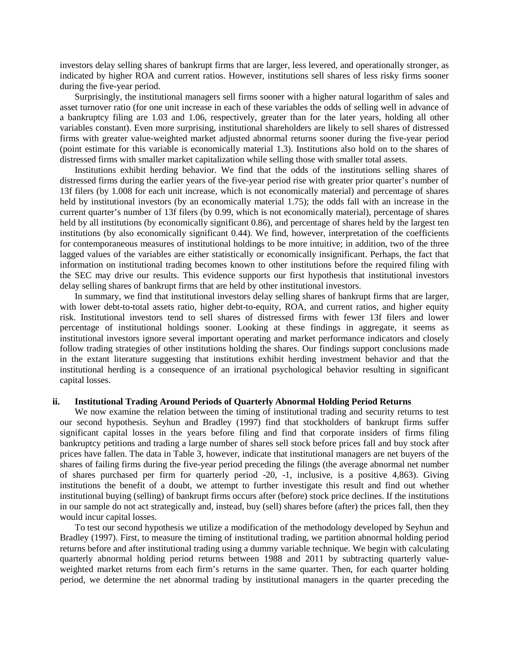investors delay selling shares of bankrupt firms that are larger, less levered, and operationally stronger, as indicated by higher ROA and current ratios. However, institutions sell shares of less risky firms sooner during the five-year period.

Surprisingly, the institutional managers sell firms sooner with a higher natural logarithm of sales and asset turnover ratio (for one unit increase in each of these variables the odds of selling well in advance of a bankruptcy filing are 1.03 and 1.06, respectively, greater than for the later years, holding all other variables constant). Even more surprising, institutional shareholders are likely to sell shares of distressed firms with greater value-weighted market adjusted abnormal returns sooner during the five-year period (point estimate for this variable is economically material 1.3). Institutions also hold on to the shares of distressed firms with smaller market capitalization while selling those with smaller total assets.

Institutions exhibit herding behavior. We find that the odds of the institutions selling shares of distressed firms during the earlier years of the five-year period rise with greater prior quarter's number of 13f filers (by 1.008 for each unit increase, which is not economically material) and percentage of shares held by institutional investors (by an economically material 1.75); the odds fall with an increase in the current quarter's number of 13f filers (by 0.99, which is not economically material), percentage of shares held by all institutions (by economically significant 0.86), and percentage of shares held by the largest ten institutions (by also economically significant 0.44). We find, however, interpretation of the coefficients for contemporaneous measures of institutional holdings to be more intuitive; in addition, two of the three lagged values of the variables are either statistically or economically insignificant. Perhaps, the fact that information on institutional trading becomes known to other institutions before the required filing with the SEC may drive our results. This evidence supports our first hypothesis that institutional investors delay selling shares of bankrupt firms that are held by other institutional investors.

In summary, we find that institutional investors delay selling shares of bankrupt firms that are larger, with lower debt-to-total assets ratio, higher debt-to-equity, ROA, and current ratios, and higher equity risk. Institutional investors tend to sell shares of distressed firms with fewer 13f filers and lower percentage of institutional holdings sooner. Looking at these findings in aggregate, it seems as institutional investors ignore several important operating and market performance indicators and closely follow trading strategies of other institutions holding the shares. Our findings support conclusions made in the extant literature suggesting that institutions exhibit herding investment behavior and that the institutional herding is a consequence of an irrational psychological behavior resulting in significant capital losses.

#### **ii. Institutional Trading Around Periods of Quarterly Abnormal Holding Period Returns**

We now examine the relation between the timing of institutional trading and security returns to test our second hypothesis. Seyhun and Bradley (1997) find that stockholders of bankrupt firms suffer significant capital losses in the years before filing and find that corporate insiders of firms filing bankruptcy petitions and trading a large number of shares sell stock before prices fall and buy stock after prices have fallen. The data in Table 3, however, indicate that institutional managers are net buyers of the shares of failing firms during the five-year period preceding the filings (the average abnormal net number of shares purchased per firm for quarterly period -20, -1, inclusive, is a positive 4,863). Giving institutions the benefit of a doubt, we attempt to further investigate this result and find out whether institutional buying (selling) of bankrupt firms occurs after (before) stock price declines. If the institutions in our sample do not act strategically and, instead, buy (sell) shares before (after) the prices fall, then they would incur capital losses.

To test our second hypothesis we utilize a modification of the methodology developed by Seyhun and Bradley (1997). First, to measure the timing of institutional trading, we partition abnormal holding period returns before and after institutional trading using a dummy variable technique. We begin with calculating quarterly abnormal holding period returns between 1988 and 2011 by subtracting quarterly valueweighted market returns from each firm's returns in the same quarter. Then, for each quarter holding period, we determine the net abnormal trading by institutional managers in the quarter preceding the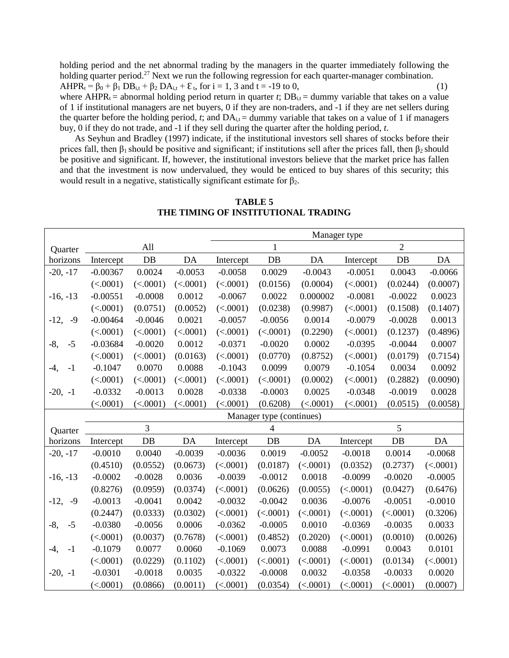holding period and the net abnormal trading by the managers in the quarter immediately following the holding quarter period.<sup>27</sup> Next we run the following regression for each quarter-manager combination.

 $AHPR_t = \beta_0 + \beta_1 DB_{i,t} + \beta_2 DA_{i,t} + \epsilon_t$ , for i = 1, 3 and t = -19 to 0, (1) where AHPR<sub>t</sub> = abnormal holding period return in quarter *t*;  $DB_{i,t}$  = dummy variable that takes on a value

of 1 if institutional managers are net buyers, 0 if they are non-traders, and -1 if they are net sellers during the quarter before the holding period, *t*; and  $DA_{i,t} =$  dummy variable that takes on a value of 1 if managers buy, 0 if they do not trade, and -1 if they sell during the quarter after the holding period, *t*.

As Seyhun and Bradley (1997) indicate, if the institutional investors sell shares of stocks before their prices fall, then  $\beta_1$  should be positive and significant; if institutions sell after the prices fall, then  $\beta_2$  should be positive and significant. If, however, the institutional investors believe that the market price has fallen and that the investment is now undervalued, they would be enticed to buy shares of this security; this would result in a negative, statistically significant estimate for  $\beta_2$ .

|                |            |           |           | Manager type |                          |           |           |                |           |
|----------------|------------|-----------|-----------|--------------|--------------------------|-----------|-----------|----------------|-----------|
| Quarter        |            | All       |           |              | 1                        |           |           | $\overline{2}$ |           |
| horizons       | Intercept  | DB        | DA        | Intercept    | DB                       | DA        | Intercept | $DB$           | DA        |
| $-20, -17$     | $-0.00367$ | 0.0024    | $-0.0053$ | $-0.0058$    | 0.0029                   | $-0.0043$ | $-0.0051$ | 0.0043         | $-0.0066$ |
|                | (<.0001)   | (<.0001)  | (<.0001)  | (<.0001)     | (0.0156)                 | (0.0004)  | (<.0001)  | (0.0244)       | (0.0007)  |
| $-16, -13$     | $-0.00551$ | $-0.0008$ | 0.0012    | $-0.0067$    | 0.0022                   | 0.000002  | $-0.0081$ | $-0.0022$      | 0.0023    |
|                | (<.0001)   | (0.0751)  | (0.0052)  | (<.0001)     | (0.0238)                 | (0.9987)  | (<.0001)  | (0.1508)       | (0.1407)  |
| $-12,$<br>$-9$ | $-0.00464$ | $-0.0046$ | 0.0021    | $-0.0057$    | $-0.0056$                | 0.0014    | $-0.0079$ | $-0.0028$      | 0.0013    |
|                | (<.0001)   | (<.0001)  | (<.0001)  | (<.0001)     | (<.0001)                 | (0.2290)  | (<.0001)  | (0.1237)       | (0.4896)  |
| $-8,$<br>$-5$  | $-0.03684$ | $-0.0020$ | 0.0012    | $-0.0371$    | $-0.0020$                | 0.0002    | $-0.0395$ | $-0.0044$      | 0.0007    |
|                | (<.0001)   | (<.0001)  | (0.0163)  | (<.0001)     | (0.0770)                 | (0.8752)  | (<.0001)  | (0.0179)       | (0.7154)  |
| -4,<br>$-1$    | $-0.1047$  | 0.0070    | 0.0088    | $-0.1043$    | 0.0099                   | 0.0079    | $-0.1054$ | 0.0034         | 0.0092    |
|                | (<.0001)   | (<.0001)  | (<.0001)  | (<.0001)     | (<.0001)                 | (0.0002)  | (<.0001)  | (0.2882)       | (0.0090)  |
| $-20, -1$      | $-0.0332$  | $-0.0013$ | 0.0028    | $-0.0338$    | $-0.0003$                | 0.0025    | $-0.0348$ | $-0.0019$      | 0.0028    |
|                | (<.0001)   | (<.0001)  | (<.0001)  | (<.0001)     | (0.6208)                 | (<.0001)  | (<.0001)  | (0.0515)       | (0.0058)  |
|                |            |           |           |              | Manager type (continues) |           |           |                |           |
| Quarter        |            | 3         |           |              | 4                        |           |           | 5              |           |
| horizons       | Intercept  | DB        | DA        | Intercept    | DB                       | DA        | Intercept | DB             | DA        |
| $-20, -17$     | $-0.0010$  | 0.0040    | $-0.0039$ | $-0.0036$    | 0.0019                   | $-0.0052$ | $-0.0018$ | 0.0014         | $-0.0068$ |
|                | (0.4510)   | (0.0552)  | (0.0673)  | (<.0001)     | (0.0187)                 | (<.0001)  | (0.0352)  | (0.2737)       | (<.0001)  |
| $-16, -13$     | $-0.0002$  | $-0.0028$ | 0.0036    | $-0.0039$    | $-0.0012$                | 0.0018    | $-0.0099$ | $-0.0020$      | $-0.0005$ |
|                | (0.8276)   | (0.0959)  | (0.0374)  | (<.0001)     | (0.0626)                 | (0.0055)  | (<.0001)  | (0.0427)       | (0.6476)  |
| $-12,$<br>$-9$ | $-0.0013$  | $-0.0041$ | 0.0042    | $-0.0032$    | $-0.0042$                | 0.0036    | $-0.0076$ | $-0.0051$      | $-0.0010$ |
|                | (0.2447)   | (0.0333)  | (0.0302)  | (<.0001)     | (<.0001)                 | (<.0001)  | (<.0001)  | (<.0001)       | (0.3206)  |
| $-8,$<br>$-5$  | $-0.0380$  | $-0.0056$ | 0.0006    | $-0.0362$    | $-0.0005$                | 0.0010    | $-0.0369$ | $-0.0035$      | 0.0033    |
|                | (<.0001)   | (0.0037)  | (0.7678)  | (<.0001)     | (0.4852)                 | (0.2020)  | (<.0001)  | (0.0010)       | (0.0026)  |
| -4,<br>$-1$    | $-0.1079$  | 0.0077    | 0.0060    | $-0.1069$    | 0.0073                   | 0.0088    | $-0.0991$ | 0.0043         | 0.0101    |
|                | (<.0001)   | (0.0229)  | (0.1102)  | (<.0001)     | (<.0001)                 | (<.0001)  | (<.0001)  | (0.0134)       | (<.0001)  |
| $-20, -1$      | $-0.0301$  | $-0.0018$ | 0.0035    | $-0.0322$    | $-0.0008$                | 0.0032    | $-0.0358$ | $-0.0033$      | 0.0020    |
|                | (<.0001)   | (0.0866)  | (0.0011)  | (<.0001)     | (0.0354)                 | (<.0001)  | (<.0001)  | (<.0001)       | (0.0007)  |

## **TABLE 5 THE TIMING OF INSTITUTIONAL TRADING**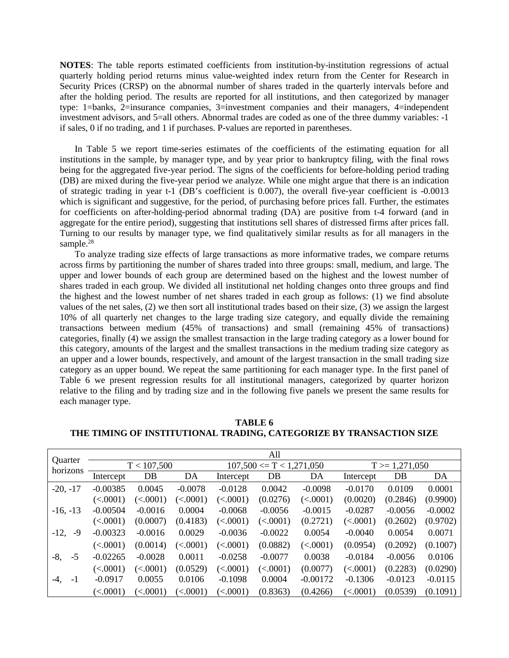**NOTES**: The table reports estimated coefficients from institution-by-institution regressions of actual quarterly holding period returns minus value-weighted index return from the Center for Research in Security Prices (CRSP) on the abnormal number of shares traded in the quarterly intervals before and after the holding period. The results are reported for all institutions, and then categorized by manager type: 1=banks, 2=insurance companies, 3=investment companies and their managers, 4=independent investment advisors, and 5=all others. Abnormal trades are coded as one of the three dummy variables: -1 if sales, 0 if no trading, and 1 if purchases. P-values are reported in parentheses.

In Table 5 we report time-series estimates of the coefficients of the estimating equation for all institutions in the sample, by manager type, and by year prior to bankruptcy filing, with the final rows being for the aggregated five-year period. The signs of the coefficients for before-holding period trading (DB) are mixed during the five-year period we analyze. While one might argue that there is an indication of strategic trading in year t-1 (DB's coefficient is 0.007), the overall five-year coefficient is -0.0013 which is significant and suggestive, for the period, of purchasing before prices fall. Further, the estimates for coefficients on after-holding-period abnormal trading (DA) are positive from t-4 forward (and in aggregate for the entire period), suggesting that institutions sell shares of distressed firms after prices fall. Turning to our results by manager type, we find qualitatively similar results as for all managers in the sample.<sup>28</sup>

To analyze trading size effects of large transactions as more informative trades, we compare returns across firms by partitioning the number of shares traded into three groups: small, medium, and large. The upper and lower bounds of each group are determined based on the highest and the lowest number of shares traded in each group. We divided all institutional net holding changes onto three groups and find the highest and the lowest number of net shares traded in each group as follows: (1) we find absolute values of the net sales, (2) we then sort all institutional trades based on their size, (3) we assign the largest 10% of all quarterly net changes to the large trading size category, and equally divide the remaining transactions between medium (45% of transactions) and small (remaining 45% of transactions) categories, finally (4) we assign the smallest transaction in the large trading category as a lower bound for this category, amounts of the largest and the smallest transactions in the medium trading size category as an upper and a lower bounds, respectively, and amount of the largest transaction in the small trading size category as an upper bound. We repeat the same partitioning for each manager type. In the first panel of Table 6 we present regression results for all institutional managers, categorized by quarter horizon relative to the filing and by trading size and in the following five panels we present the same results for each manager type.

|                            | All                    |                        |                        |                             |                        |            |                   |           |           |
|----------------------------|------------------------|------------------------|------------------------|-----------------------------|------------------------|------------|-------------------|-----------|-----------|
| <b>Ouarter</b><br>horizons |                        | T < 107,500            |                        | $107,500 \le T < 1,271,050$ |                        |            | $T > = 1,271,050$ |           |           |
|                            | Intercept              | DB                     | DA                     | Intercept                   | DB                     | DA         | Intercept         | DB        | DA        |
| $-20, -17$                 | $-0.00385$             | 0.0045                 | $-0.0078$              | $-0.0128$                   | 0.0042                 | $-0.0098$  | $-0.0170$         | 0.0109    | 0.0001    |
|                            | (<.0001)               | (<.0001)               | (<.0001)               | (<.0001)                    | (0.0276)               | (<.0001)   | (0.0020)          | (0.2846)  | (0.9900)  |
| $-16, -13$                 | $-0.00504$             | $-0.0016$              | 0.0004                 | $-0.0068$                   | $-0.0056$              | $-0.0015$  | $-0.0287$         | $-0.0056$ | $-0.0002$ |
|                            | (<.0001)               | (0.0007)               | (0.4183)               | (<.0001)                    | (<.0001)               | (0.2721)   | (<.0001)          | (0.2602)  | (0.9702)  |
| $-12,$<br>-9               | $-0.00323$             | $-0.0016$              | 0.0029                 | $-0.0036$                   | $-0.0022$              | 0.0054     | $-0.0040$         | 0.0054    | 0.0071    |
|                            | (<.0001)               | (0.0014)               | $\left( <.0001\right)$ | (<.0001)                    | (0.0882)               | (<.0001)   | (0.0954)          | (0.2092)  | (0.1007)  |
| $-5$<br>$-8,$              | $-0.02265$             | $-0.0028$              | 0.0011                 | $-0.0258$                   | $-0.0077$              | 0.0038     | $-0.0184$         | $-0.0056$ | 0.0106    |
|                            | (<.0001)               | (<.0001)               | (0.0529)               | (<.0001)                    | $\left( <.0001\right)$ | (0.0077)   | (<.0001)          | (0.2283)  | (0.0290)  |
| -4.<br>$-1$                | $-0.0917$              | 0.0055                 | 0.0106                 | $-0.1098$                   | 0.0004                 | $-0.00172$ | $-0.1306$         | $-0.0123$ | $-0.0115$ |
|                            | $\left( <.0001\right)$ | $\left( <.0001\right)$ | $\leq 0001$            | (<.0001)                    | (0.8363)               | (0.4266)   | (<.0001)          | (0.0539)  | (0.1091)  |

**TABLE 6 THE TIMING OF INSTITUTIONAL TRADING, CATEGORIZE BY TRANSACTION SIZE**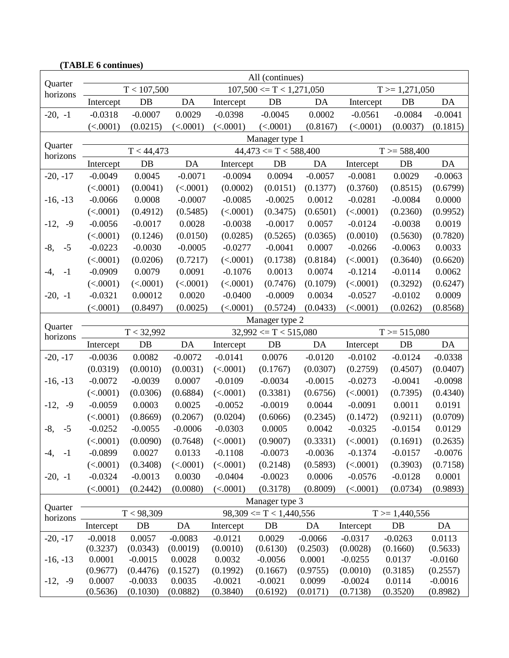| (TABLE 6 continues) |                                          |             |           |           |                               |           |                 |                    |           |
|---------------------|------------------------------------------|-------------|-----------|-----------|-------------------------------|-----------|-----------------|--------------------|-----------|
|                     |                                          |             |           |           | All (continues)               |           |                 |                    |           |
| Quarter<br>horizons |                                          | T < 107,500 |           |           | $107,500 \le T \le 1,271,050$ |           |                 | $T > = 1,271,050$  |           |
|                     | Intercept                                | $DB$        | DA        | Intercept | DB                            | DA        | Intercept       | $DB$               | DA        |
| $-20, -1$           | $-0.0318$                                | $-0.0007$   | 0.0029    | $-0.0398$ | $-0.0045$                     | 0.0002    | $-0.0561$       | $-0.0084$          | $-0.0041$ |
|                     | (<.0001)                                 | (0.0215)    | (<.0001)  | (<.0001)  | (<.0001)                      | (0.8167)  | (<.0001)        | (0.0037)           | (0.1815)  |
|                     |                                          |             |           |           | Manager type 1                |           |                 |                    |           |
| Quarter<br>horizons |                                          | T < 44,473  |           |           | $44,473 \le T \le 588,400$    |           |                 | $T > = 588,400$    |           |
|                     | Intercept                                | DB          | DA        | Intercept | $DB$                          | DA        | Intercept       | DB                 | DA        |
| $-20, -17$          | $-0.0049$                                | 0.0045      | $-0.0071$ | $-0.0094$ | 0.0094                        | $-0.0057$ | $-0.0081$       | 0.0029             | $-0.0063$ |
|                     | (<.0001)                                 | (0.0041)    | (<.0001)  | (0.0002)  | (0.0151)                      | (0.1377)  | (0.3760)        | (0.8515)           | (0.6799)  |
| $-16, -13$          | $-0.0066$                                | 0.0008      | $-0.0007$ | $-0.0085$ | $-0.0025$                     | 0.0012    | $-0.0281$       | $-0.0084$          | 0.0000    |
|                     | (<.0001)                                 | (0.4912)    | (0.5485)  | (<.0001)  | (0.3475)                      | (0.6501)  | (<.0001)        | (0.2360)           | (0.9952)  |
| $-12,$<br>$-9$      | $-0.0056$                                | $-0.0017$   | 0.0028    | $-0.0038$ | $-0.0017$                     | 0.0057    | $-0.0124$       | $-0.0038$          | 0.0019    |
|                     | (<.0001)                                 | (0.1246)    | (0.0150)  | (0.0285)  | (0.5265)                      | (0.0365)  | (0.0010)        | (0.5630)           | (0.7820)  |
| $-8,$<br>$-5$       | $-0.0223$                                | $-0.0030$   | $-0.0005$ | $-0.0277$ | $-0.0041$                     | 0.0007    | $-0.0266$       | $-0.0063$          | 0.0033    |
|                     | (<.0001)                                 | (0.0206)    | (0.7217)  | (<.0001)  | (0.1738)                      | (0.8184)  | (<.0001)        | (0.3640)           | (0.6620)  |
| $-1$<br>$-4,$       | $-0.0909$                                | 0.0079      | 0.0091    | $-0.1076$ | 0.0013                        | 0.0074    | $-0.1214$       | $-0.0114$          | 0.0062    |
|                     | (<.0001)                                 | (<.0001)    | (<.0001)  | (<.0001)  | (0.7476)                      | (0.1079)  | (<.0001)        | (0.3292)           | (0.6247)  |
| $-20, -1$           | $-0.0321$                                | 0.00012     | 0.0020    | $-0.0400$ | $-0.0009$                     | 0.0034    | $-0.0527$       | $-0.0102$          | 0.0009    |
|                     | (<.0001)                                 | (0.8497)    | (0.0025)  | (<.0001)  | (0.5724)                      | (0.0433)  | (<.0001)        | (0.0262)           | (0.8568)  |
|                     |                                          |             |           |           | Manager type 2                |           |                 |                    |           |
| Quarter<br>horizons | T < 32,992<br>$32,992 \le T \le 515,080$ |             |           |           |                               |           | $T > = 515,080$ |                    |           |
|                     | Intercept                                | $DB$        | DA        | Intercept | DB                            | DA        | Intercept       | $DB$               | DA        |
| $-20, -17$          | $-0.0036$                                | 0.0082      | $-0.0072$ | $-0.0141$ | 0.0076                        | $-0.0120$ | $-0.0102$       | $-0.0124$          | $-0.0338$ |
|                     | (0.0319)                                 | (0.0010)    | (0.0031)  | (<.0001)  | (0.1767)                      | (0.0307)  | (0.2759)        | (0.4507)           | (0.0407)  |
| $-16, -13$          | $-0.0072$                                | $-0.0039$   | 0.0007    | $-0.0109$ | $-0.0034$                     | $-0.0015$ | $-0.0273$       | $-0.0041$          | $-0.0098$ |
|                     | (<.0001)                                 | (0.0306)    | (0.6884)  | (<.0001)  | (0.3381)                      | (0.6756)  | (<.0001)        | (0.7395)           | (0.4340)  |
| $-12,$<br>$-9$      | $-0.0059$                                | 0.0003      | 0.0025    | $-0.0052$ | $-0.0019$                     | 0.0044    | $-0.0091$       | 0.0011             | 0.0191    |
|                     | (<.0001)                                 | (0.8669)    | (0.2067)  | (0.0204)  | (0.6066)                      | (0.2345)  | (0.1472)        | (0.9211)           | (0.0709)  |
| $-8,$<br>$-5$       | $-0.0252$                                | $-0.0055$   | $-0.0006$ | $-0.0303$ | 0.0005                        | 0.0042    | $-0.0325$       | $-0.0154$          | 0.0129    |
|                     | (<.0001)                                 | (0.0090)    | (0.7648)  | (<.0001)  | (0.9007)                      | (0.3331)  | (<.0001)        | (0.1691)           | (0.2635)  |
| $-1$<br>-4,         | $-0.0899$                                | 0.0027      | 0.0133    | $-0.1108$ | $-0.0073$                     | $-0.0036$ | $-0.1374$       | $-0.0157$          | $-0.0076$ |
|                     | (<.0001)                                 | (0.3408)    | (<.0001)  | (<.0001)  | (0.2148)                      | (0.5893)  | (<.0001)        | (0.3903)           | (0.7158)  |
| $-20, -1$           | $-0.0324$                                | $-0.0013$   | 0.0030    | $-0.0404$ | $-0.0023$                     | 0.0006    | $-0.0576$       | $-0.0128$          | 0.0001    |
|                     | (<.0001)                                 | (0.2442)    | (0.0080)  | (<.0001)  | (0.3178)                      | (0.8009)  | (<.0001)        | (0.0734)           | (0.9893)  |
|                     |                                          |             |           |           | Manager type 3                |           |                 |                    |           |
| Quarter<br>horizons |                                          | T < 98,309  |           |           | $98,309 \le T \le 1,440,556$  |           |                 | $T \geq 1,440,556$ |           |
|                     | Intercept                                | $DB$        | DA        | Intercept | DB                            | DA        | Intercept       | $DB$               | DA        |
| $-20, -17$          | $-0.0018$                                | 0.0057      | $-0.0083$ | $-0.0121$ | 0.0029                        | $-0.0066$ | $-0.0317$       | $-0.0263$          | 0.0113    |
|                     | (0.3237)                                 | (0.0343)    | (0.0019)  | (0.0010)  | (0.6130)                      | (0.2503)  | (0.0028)        | (0.1660)           | (0.5633)  |
| $-16, -13$          | 0.0001                                   | $-0.0015$   | 0.0028    | 0.0032    | $-0.0056$                     | 0.0001    | $-0.0255$       | 0.0137             | $-0.0160$ |
|                     | (0.9677)                                 | (0.4476)    | (0.1527)  | (0.1992)  | (0.1667)                      | (0.9755)  | (0.0010)        | (0.3185)           | (0.2557)  |
| $-12, -9$           | 0.0007                                   | $-0.0033$   | 0.0035    | $-0.0021$ | $-0.0021$                     | 0.0099    | $-0.0024$       | 0.0114             | $-0.0016$ |
|                     | (0.5636)                                 | (0.1030)    | (0.0882)  | (0.3840)  | (0.6192)                      | (0.0171)  | (0.7138)        | (0.3520)           | (0.8982)  |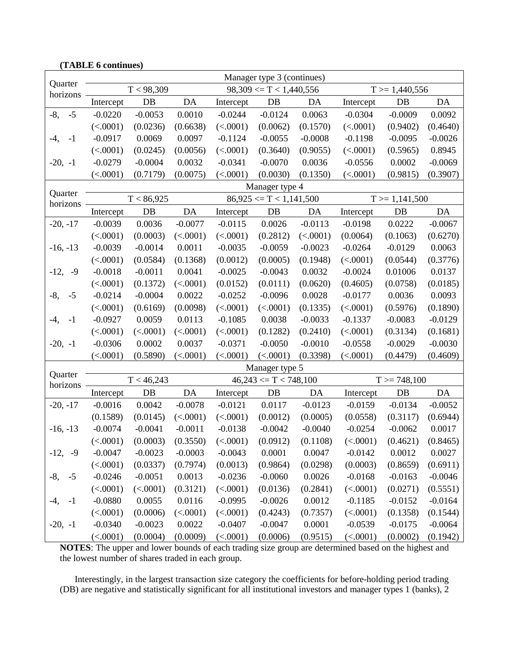|                     |                |            |           |                              | Manager type 3 (continues)   |           |                   |                    |           |
|---------------------|----------------|------------|-----------|------------------------------|------------------------------|-----------|-------------------|--------------------|-----------|
| Quarter<br>horizons |                | T < 98,309 |           |                              | $98,309 \le T \le 1,440,556$ |           |                   | $T \geq 1,440,556$ |           |
|                     | Intercept      | DB         | DA        | Intercept                    | DB                           | DA        | Intercept         | DB                 | DA        |
| $-5$<br>$-8,$       | $-0.0220$      | $-0.0053$  | 0.0010    | $-0.0244$                    | $-0.0124$                    | 0.0063    | $-0.0304$         | $-0.0009$          | 0.0092    |
|                     | (<.0001)       | (0.0236)   | (0.6638)  | (<.0001)                     | (0.0062)                     | (0.1570)  | (<.0001)          | (0.9402)           | (0.4640)  |
| -4,<br>$-1$         | $-0.0917$      | 0.0069     | 0.0097    | $-0.1124$                    | $-0.0055$                    | $-0.0008$ | $-0.1198$         | $-0.0095$          | $-0.0026$ |
|                     | (<.0001)       | (0.0245)   | (0.0056)  | (<.0001)                     | (0.3640)                     | (0.9055)  | (<.0001)          | (0.5965)           | 0.8945    |
| $-20, -1$           | $-0.0279$      | $-0.0004$  | 0.0032    | $-0.0341$                    | $-0.0070$                    | 0.0036    | $-0.0556$         | 0.0002             | $-0.0069$ |
|                     | (<.0001)       | (0.7179)   | (0.0075)  | (<.0001)                     | (0.0030)                     | (0.1350)  | (<.0001)          | (0.9815)           | (0.3907)  |
|                     | Manager type 4 |            |           |                              |                              |           |                   |                    |           |
| Quarter<br>horizons | T < 86,925     |            |           | $86,925 \le T \le 1,141,500$ |                              |           | $T > = 1,141,500$ |                    |           |
|                     | Intercept      | DB         | DA        | Intercept                    | DB                           | DA        | Intercept         | DB                 | DA        |
| $-20, -17$          | $-0.0039$      | 0.0036     | $-0.0077$ | $-0.0115$                    | 0.0026                       | $-0.0113$ | $-0.0198$         | 0.0222             | $-0.0067$ |
|                     | (<.0001)       | (0.0003)   | (<.0001)  | (<.0001)                     | (0.2812)                     | (<.0001)  | (0.0064)          | (0.1063)           | (0.6270)  |
| $-16, -13$          | $-0.0039$      | $-0.0014$  | 0.0011    | $-0.0035$                    | $-0.0059$                    | $-0.0023$ | $-0.0264$         | $-0.0129$          | 0.0063    |
|                     | (<.0001)       | (0.0584)   | (0.1368)  | (0.0012)                     | (0.0005)                     | (0.1948)  | (<.0001)          | (0.0544)           | (0.3776)  |
| $-12,$<br>$-9$      | $-0.0018$      | $-0.0011$  | 0.0041    | $-0.0025$                    | $-0.0043$                    | 0.0032    | $-0.0024$         | 0.01006            | 0.0137    |
|                     | (<.0001)       | (0.1372)   | (<.0001)  | (0.0152)                     | (0.0111)                     | (0.0620)  | (0.4605)          | (0.0758)           | (0.0185)  |
| $-8,$<br>$-5$       | $-0.0214$      | $-0.0004$  | 0.0022    | $-0.0252$                    | $-0.0096$                    | 0.0028    | $-0.0177$         | 0.0036             | 0.0093    |
|                     | (<.0001)       | (0.6169)   | (0.0098)  | (<.0001)                     | (<.0001)                     | (0.1335)  | (<.0001)          | (0.5976)           | (0.1890)  |
| $-4,$<br>$-1$       | $-0.0927$      | 0.0059     | 0.0113    | $-0.1085$                    | 0.0038                       | $-0.0033$ | $-0.1337$         | $-0.0083$          | $-0.0129$ |
|                     | (<.0001)       | (<.0001)   | (<.0001)  | (<.0001)                     | (0.1282)                     | (0.2410)  | (<.0001)          | (0.3134)           | (0.1681)  |
| $-20, -1$           | $-0.0306$      | 0.0002     | 0.0037    | $-0.0371$                    | $-0.0050$                    | $-0.0010$ | $-0.0558$         | $-0.0029$          | $-0.0030$ |
|                     | (<.0001)       | (0.5890)   | (<.0001)  | (<.0001)                     | (<.0001)                     | (0.3398)  | (<.0001)          | (0.4479)           | (0.4609)  |
| Quarter             |                |            |           |                              | Manager type 5               |           |                   |                    |           |
| horizons            |                | T < 46,243 |           |                              | $46,243 \le T \le 748,100$   |           |                   | $T > = 748,100$    |           |
|                     | Intercept      | $DB$       | DA        | Intercept                    | DB                           | DA        | Intercept         | $DB$               | DA        |
| $-20, -17$          | $-0.0016$      | 0.0042     | $-0.0078$ | $-0.0121$                    | 0.0117                       | $-0.0123$ | $-0.0159$         | $-0.0134$          | $-0.0052$ |
|                     | (0.1589)       | (0.0145)   | (<.0001)  | (<.0001)                     | (0.0012)                     | (0.0005)  | (0.0558)          | (0.3117)           | (0.6944)  |
| $-16, -13$          | $-0.0074$      | $-0.0041$  | $-0.0011$ | $-0.0138$                    | $-0.0042$                    | $-0.0040$ | $-0.0254$         | $-0.0062$          | 0.0017    |
|                     | (<.0001)       | (0.0003)   | (0.3550)  | (<.0001)                     | (0.0912)                     | (0.1108)  | (<.0001)          | (0.4621)           | (0.8465)  |
| $-12, -9$           | $-0.0047$      | $-0.0023$  | $-0.0003$ | $-0.0043$                    | 0.0001                       | 0.0047    | $-0.0142$         | 0.0012             | 0.0027    |
|                     | (<.0001)       | (0.0337)   | (0.7974)  | (0.0013)                     | (0.9864)                     | (0.0298)  | (0.0003)          | (0.8659)           | (0.6911)  |
| $-8,$<br>$-5$       | $-0.0246$      | $-0.0051$  | 0.0013    | $-0.0236$                    | $-0.0060$                    | 0.0026    | $-0.0168$         | $-0.0163$          | $-0.0046$ |
|                     | (<.0001)       | (<.0001)   | (0.3121)  | (<.0001)                     | (0.0136)                     | (0.2841)  | (<.0001)          | (0.0271)           | (0.5551)  |
| $-1$<br>-4,         | $-0.0880$      | 0.0055     | 0.0116    | $-0.0995$                    | $-0.0026$                    | 0.0012    | $-0.1185$         | $-0.0152$          | $-0.0164$ |
|                     | (<.0001)       | (0.0006)   | (<.0001)  | (<.0001)                     | (0.4243)                     | (0.7357)  | (<.0001)          | (0.1358)           | (0.1544)  |
| $-20, -1$           | $-0.0340$      | $-0.0023$  | 0.0022    | $-0.0407$                    | $-0.0047$                    | 0.0001    | $-0.0539$         | $-0.0175$          | $-0.0064$ |
|                     | (<.0001)       | (0.0004)   | (0.0009)  | (<.0001)                     | (0.0006)                     | (0.9515)  | (<.0001)          | (0.0002)           | (0.1942)  |

## **(TABLE 6 continues)**

**NOTES**: The upper and lower bounds of each trading size group are determined based on the highest and the lowest number of shares traded in each group.

Interestingly, in the largest transaction size category the coefficients for before-holding period trading (DB) are negative and statistically significant for all institutional investors and manager types 1 (banks), 2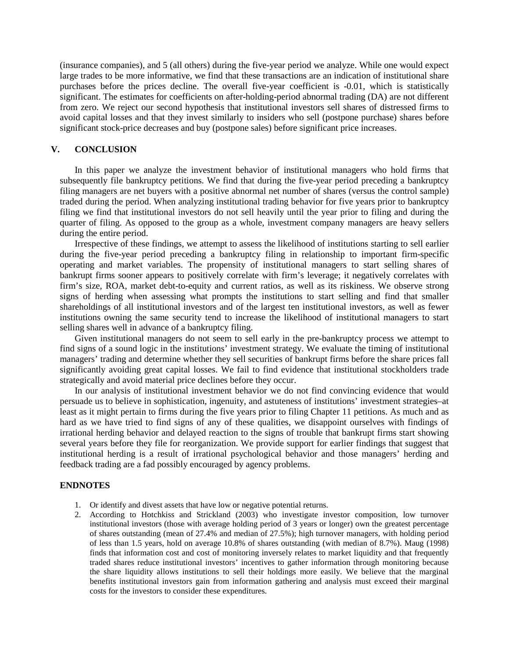(insurance companies), and 5 (all others) during the five-year period we analyze. While one would expect large trades to be more informative, we find that these transactions are an indication of institutional share purchases before the prices decline. The overall five-year coefficient is -0.01, which is statistically significant. The estimates for coefficients on after-holding-period abnormal trading (DA) are not different from zero. We reject our second hypothesis that institutional investors sell shares of distressed firms to avoid capital losses and that they invest similarly to insiders who sell (postpone purchase) shares before significant stock-price decreases and buy (postpone sales) before significant price increases.

#### **V. CONCLUSION**

In this paper we analyze the investment behavior of institutional managers who hold firms that subsequently file bankruptcy petitions. We find that during the five-year period preceding a bankruptcy filing managers are net buyers with a positive abnormal net number of shares (versus the control sample) traded during the period. When analyzing institutional trading behavior for five years prior to bankruptcy filing we find that institutional investors do not sell heavily until the year prior to filing and during the quarter of filing. As opposed to the group as a whole, investment company managers are heavy sellers during the entire period.

Irrespective of these findings, we attempt to assess the likelihood of institutions starting to sell earlier during the five-year period preceding a bankruptcy filing in relationship to important firm-specific operating and market variables. The propensity of institutional managers to start selling shares of bankrupt firms sooner appears to positively correlate with firm's leverage; it negatively correlates with firm's size, ROA, market debt-to-equity and current ratios, as well as its riskiness. We observe strong signs of herding when assessing what prompts the institutions to start selling and find that smaller shareholdings of all institutional investors and of the largest ten institutional investors, as well as fewer institutions owning the same security tend to increase the likelihood of institutional managers to start selling shares well in advance of a bankruptcy filing.

Given institutional managers do not seem to sell early in the pre-bankruptcy process we attempt to find signs of a sound logic in the institutions' investment strategy. We evaluate the timing of institutional managers' trading and determine whether they sell securities of bankrupt firms before the share prices fall significantly avoiding great capital losses. We fail to find evidence that institutional stockholders trade strategically and avoid material price declines before they occur.

In our analysis of institutional investment behavior we do not find convincing evidence that would persuade us to believe in sophistication, ingenuity, and astuteness of institutions' investment strategies–at least as it might pertain to firms during the five years prior to filing Chapter 11 petitions. As much and as hard as we have tried to find signs of any of these qualities, we disappoint ourselves with findings of irrational herding behavior and delayed reaction to the signs of trouble that bankrupt firms start showing several years before they file for reorganization. We provide support for earlier findings that suggest that institutional herding is a result of irrational psychological behavior and those managers' herding and feedback trading are a fad possibly encouraged by agency problems.

### **ENDNOTES**

- 1. Or identify and divest assets that have low or negative potential returns.
- 2. According to Hotchkiss and Strickland (2003) who investigate investor composition, low turnover institutional investors (those with average holding period of 3 years or longer) own the greatest percentage of shares outstanding (mean of 27.4% and median of 27.5%); high turnover managers, with holding period of less than 1.5 years, hold on average 10.8% of shares outstanding (with median of 8.7%). Maug (1998) finds that information cost and cost of monitoring inversely relates to market liquidity and that frequently traded shares reduce institutional investors' incentives to gather information through monitoring because the share liquidity allows institutions to sell their holdings more easily. We believe that the marginal benefits institutional investors gain from information gathering and analysis must exceed their marginal costs for the investors to consider these expenditures.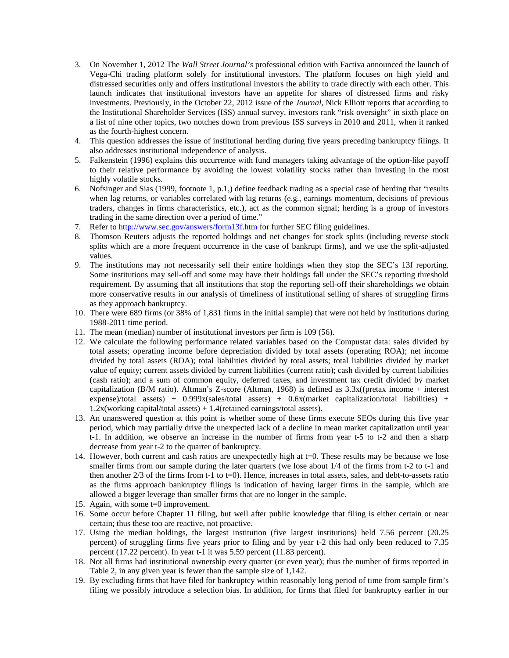- 3. On November 1, 2012 The *Wall Street Journal's* professional edition with Factiva announced the launch of Vega-Chi trading platform solely for institutional investors. The platform focuses on high yield and distressed securities only and offers institutional investors the ability to trade directly with each other. This launch indicates that institutional investors have an appetite for shares of distressed firms and risky investments. Previously, in the October 22, 2012 issue of the *Journal*, Nick Elliott reports that according to the Institutional Shareholder Services (ISS) annual survey, investors rank "risk oversight" in sixth place on a list of nine other topics, two notches down from previous ISS surveys in 2010 and 2011, when it ranked as the fourth-highest concern.
- 4. This question addresses the issue of institutional herding during five years preceding bankruptcy filings. It also addresses institutional independence of analysis.
- 5. Falkenstein (1996) explains this occurrence with fund managers taking advantage of the option-like payoff to their relative performance by avoiding the lowest volatility stocks rather than investing in the most highly volatile stocks.
- 6. Nofsinger and Sias (1999, footnote 1, p.1,) define feedback trading as a special case of herding that "results when lag returns, or variables correlated with lag returns (e.g., earnings momentum, decisions of previous traders, changes in firms characteristics, etc.), act as the common signal; herding is a group of investors trading in the same direction over a period of time."
- 7. Refer to<http://www.sec.gov/answers/form13f.htm> for further SEC filing guidelines.
- 8. Thomson Reuters adjusts the reported holdings and net changes for stock splits (including reverse stock splits which are a more frequent occurrence in the case of bankrupt firms), and we use the split-adjusted values.
- 9. The institutions may not necessarily sell their entire holdings when they stop the SEC's 13f reporting. Some institutions may sell-off and some may have their holdings fall under the SEC's reporting threshold requirement. By assuming that all institutions that stop the reporting sell-off their shareholdings we obtain more conservative results in our analysis of timeliness of institutional selling of shares of struggling firms as they approach bankruptcy.
- 10. There were 689 firms (or 38% of 1,831 firms in the initial sample) that were not held by institutions during 1988-2011 time period.
- 11. The mean (median) number of institutional investors per firm is 109 (56).
- 12. We calculate the following performance related variables based on the Compustat data: sales divided by total assets; operating income before depreciation divided by total assets (operating ROA); net income divided by total assets (ROA); total liabilities divided by total assets; total liabilities divided by market value of equity; current assets divided by current liabilities (current ratio); cash divided by current liabilities (cash ratio); and a sum of common equity, deferred taxes, and investment tax credit divided by market capitalization (B/M ratio). Altman's Z-score (Altman, 1968) is defined as 3.3x((pretax income + interest expense)/total assets) +  $0.999x$ (sales/total assets) +  $0.6x$ (market capitalization/total liabilities) + 1.2x(working capital/total assets) + 1.4(retained earnings/total assets).
- 13. An unanswered question at this point is whether some of these firms execute SEOs during this five year period, which may partially drive the unexpected lack of a decline in mean market capitalization until year t-1. In addition, we observe an increase in the number of firms from year t-5 to t-2 and then a sharp decrease from year t-2 to the quarter of bankruptcy.
- 14. However, both current and cash ratios are unexpectedly high at t=0. These results may be because we lose smaller firms from our sample during the later quarters (we lose about 1/4 of the firms from t-2 to t-1 and then another  $2/3$  of the firms from t-1 to t=0). Hence, increases in total assets, sales, and debt-to-assets ratio as the firms approach bankruptcy filings is indication of having larger firms in the sample, which are allowed a bigger leverage than smaller firms that are no longer in the sample.
- 15. Again, with some t=0 improvement.
- 16. Some occur before Chapter 11 filing, but well after public knowledge that filing is either certain or near certain; thus these too are reactive, not proactive.
- 17. Using the median holdings, the largest institution (five largest institutions) held 7.56 percent (20.25 percent) of struggling firms five years prior to filing and by year t-2 this had only been reduced to 7.35 percent (17.22 percent). In year t-1 it was 5.59 percent (11.83 percent).
- 18. Not all firms had institutional ownership every quarter (or even year); thus the number of firms reported in Table 2, in any given year is fewer than the sample size of 1,142.
- 19. By excluding firms that have filed for bankruptcy within reasonably long period of time from sample firm's filing we possibly introduce a selection bias. In addition, for firms that filed for bankruptcy earlier in our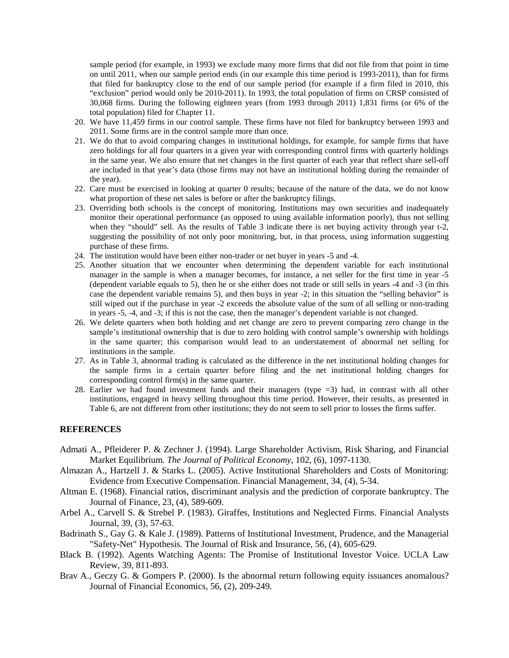sample period (for example, in 1993) we exclude many more firms that did not file from that point in time on until 2011, when our sample period ends (in our example this time period is 1993-2011), than for firms that filed for bankruptcy close to the end of our sample period (for example if a firm filed in 2010, this "exclusion" period would only be 2010-2011). In 1993, the total population of firms on CRSP consisted of 30,068 firms. During the following eighteen years (from 1993 through 2011) 1,831 firms (or 6% of the total population) filed for Chapter 11.

- 20. We have 11,459 firms in our control sample. These firms have not filed for bankruptcy between 1993 and 2011. Some firms are in the control sample more than once.
- 21. We do that to avoid comparing changes in institutional holdings, for example, for sample firms that have zero holdings for all four quarters in a given year with corresponding control firms with quarterly holdings in the same year. We also ensure that net changes in the first quarter of each year that reflect share sell-off are included in that year's data (those firms may not have an institutional holding during the remainder of the year).
- 22. Care must be exercised in looking at quarter 0 results; because of the nature of the data, we do not know what proportion of these net sales is before or after the bankruptcy filings.
- 23. Overriding both schools is the concept of monitoring. Institutions may own securities and inadequately monitor their operational performance (as opposed to using available information poorly), thus not selling when they "should" sell. As the results of Table 3 indicate there is net buying activity through year t-2, suggesting the possibility of not only poor monitoring, but, in that process, using information suggesting purchase of these firms.
- 24. The institution would have been either non-trader or net buyer in years -5 and -4.
- 25. Another situation that we encounter when determining the dependent variable for each institutional manager in the sample is when a manager becomes, for instance, a net seller for the first time in year -5 (dependent variable equals to 5), then he or she either does not trade or still sells in years -4 and -3 (in this case the dependent variable remains 5), and then buys in year -2; in this situation the "selling behavior" is still wiped out if the purchase in year -2 exceeds the absolute value of the sum of all selling or non-trading in years -5, -4, and -3; if this is not the case, then the manager's dependent variable is not changed.
- 26. We delete quarters when both holding and net change are zero to prevent comparing zero change in the sample's institutional ownership that is due to zero holding with control sample's ownership with holdings in the same quarter; this comparison would lead to an understatement of abnormal net selling for institutions in the sample.
- 27. As in Table 3, abnormal trading is calculated as the difference in the net institutional holding changes for the sample firms in a certain quarter before filing and the net institutional holding changes for corresponding control firm(s) in the same quarter.
- 28. Earlier we had found investment funds and their managers (type =3) had, in contrast with all other institutions, engaged in heavy selling throughout this time period. However, their results, as presented in Table 6, are not different from other institutions; they do not seem to sell prior to losses the firms suffer.

## **REFERENCES**

- Admati A., Pfleiderer P. & Zechner J. (1994). Large Shareholder Activism, Risk Sharing, and Financial Market Equilibrium. *The Journal of Political Economy*, 102, (6), 1097-1130.
- Almazan A., Hartzell J. & Starks L. (2005). Active Institutional Shareholders and Costs of Monitoring: Evidence from Executive Compensation. Financial Management, [34, \(4\),](http://onlinelibrary.wiley.com/doi/10.1111/fima.2005.34.issue-4/issuetoc) 5-34.
- Altman E. (1968). [Financial ratios, discriminant analysis and the prediction of corporate bankruptcy.](http://www.jstor.org/stable/10.2307/2978933) The Journal of Finance, 23, (4), 589-609.
- Arbel A., Carvell S. & Strebel P. (1983). Giraffes, Institutions and Neglected Firms. Financial Analysts Journal, 39, (3), 57-63.
- Badrinath S., Gay G. & Kale J. (1989). Patterns of Institutional Investment, Prudence, and the Managerial "Safety-Net" Hypothesis. The Journal of Risk and Insurance, 56, (4), 605-629.
- Black B. (1992). Agents Watching Agents: The Promise of Institutional Investor Voice. [UCLA Law](http://papers.ssrn.com/sol3/papers.cfm?abstract_id=1132082##)  [Review, 39,](http://papers.ssrn.com/sol3/papers.cfm?abstract_id=1132082##) 811-893.
- Brav A., Geczy G. & Gompers P. (2000). Is the abnormal return following equity issuances anomalous? Journal of Financial Economics, 56, (2), 209-249.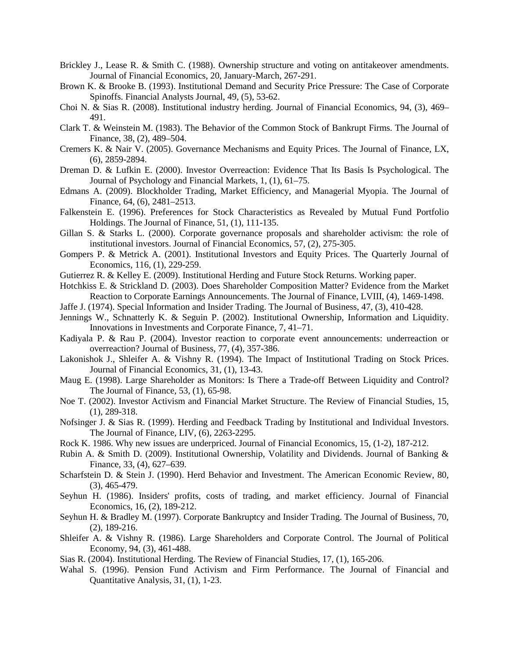- Brickley J., Lease R. & Smith C. (1988). Ownership structure and voting on antitakeover amendments. [Journal of Financial Economics,](http://www.sciencedirect.com/science/journal/0304405X) [20,](http://www.sciencedirect.com/science/journal/0304405X/20/supp/C) January-March, 267-291.
- Brown K. & Brooke B. (1993). Institutional Demand and Security Price Pressure: The Case of Corporate Spinoffs. Financial Analysts Journal, 49, (5), 53-62.
- Choi N. & Sias R. (2008). Institutional industry herding. [Journal of Financial Economics,](http://www.sciencedirect.com/science/journal/0304405X) [94,](http://www.sciencedirect.com/science/journal/0304405X/94/3) (3), 469– 491.
- Clark T. & Weinstein M. (1983). The Behavior of the Common Stock of Bankrupt Firms. The Journal of Finance, [38, \(2\)](http://onlinelibrary.wiley.com/doi/10.1111/jofi.1983.38.issue-2/issuetoc), 489–504.
- Cremers K. & Nair V. (2005). Governance Mechanisms and Equity Prices. The Journal of Finance, LX, (6), 2859-2894.
- Dreman D. & Lufkin E. (2000). Investor Overreaction: Evidence That Its Basis Is Psychological. The Journal of Psychology and Financial Markets, 1, (1), 61–75.
- Edmans A. (2009). Blockholder Trading, Market Efficiency, and Managerial Myopia. The Journal of Finance, [64, \(6\)](http://onlinelibrary.wiley.com/doi/10.1111/jofi.2009.64.issue-6/issuetoc), 2481–2513.
- Falkenstein E. (1996). Preferences for Stock Characteristics as Revealed by Mutual Fund Portfolio Holdings. The Journal of Finance, 51, (1), 111-135.
- Gillan S. & Starks L. (2000). Corporate governance proposals and shareholder activism: the role of institutional investors. Journal of Financial Economics, 57, (2), 275-305.
- Gompers P. & Metrick A. (2001). Institutional Investors and Equity Prices. The Quarterly Journal of Economics, 116, (1), 229-259.
- Gutierrez R. & Kelley E. (2009). Institutional Herding and Future Stock Returns. Working paper.
- Hotchkiss E. & Strickland D. (2003). Does Shareholder Composition Matter? Evidence from the Market Reaction to Corporate Earnings Announcements. The Journal of Finance, LVIII, (4), 1469-1498.
- Jaffe J. (1974). Special Information and Insider Trading. The Journal of Business, 47, (3), 410-428.
- Jennings W., Schnatterly K. & Seguin P. (2002). Institutional Ownership, Information and Liquidity. Innovations in Investments and Corporate Finance, 7, 41–71.
- Kadiyala P. & Rau P. (2004). Investor reaction to corporate event announcements: underreaction or overreaction? Journal of Business, 77, (4), 357-386.
- Lakonishok J., Shleifer A. & Vishny R. (1994). The Impact of Institutional Trading on Stock Prices. Journal of Financial Economics, 31, (1), 13-43.
- Maug E. (1998). Large Shareholder as Monitors: Is There a Trade-off Between Liquidity and Control? The Journal of Finance, 53, (1), 65-98.
- Noe T. (2002). Investor Activism and Financial Market Structure. The Review of Financial Studies, 15, (1), 289-318.
- Nofsinger J. & Sias R. (1999). Herding and Feedback Trading by Institutional and Individual Investors. The Journal of Finance, LIV, (6), 2263-2295.
- Rock K. 1986. [Why new issues are underpriced.](http://www.sciencedirect.com/science/article/pii/0304405X86900541) Journal of Financial Economics, 15, (1-2), 187-212.
- Rubin A. & Smith D. (2009). Institutional Ownership, Volatility and Dividends. [Journal of Banking &](http://www.sciencedirect.com/science/journal/03784266)  [Finance,](http://www.sciencedirect.com/science/journal/03784266) [33, \(4\)](http://www.sciencedirect.com/science/journal/03784266/33/4), 627–639.
- Scharfstein D. & Stein J. (1990). Herd Behavior and Investment. The American Economic Review, 80, (3), 465-479.
- Seyhun H. (1986). Insiders' profits, costs of trading, and market efficiency. [Journal of Financial](http://www.sciencedirect.com/science/journal/0304405X)  [Economics,](http://www.sciencedirect.com/science/journal/0304405X) 16, (2), 189-212.
- Seyhun H. & Bradley M. (1997). Corporate Bankruptcy and Insider Trading. The Journal of Business, 70, (2), 189-216.
- Shleifer A. & Vishny R. (1986). Large Shareholders and Corporate Control. The Journal of Political Economy, 94, (3), 461-488.
- Sias R. (2004). Institutional Herding. The Review of Financial Studies, 17, (1), 165-206.
- Wahal S. (1996). Pension Fund Activism and Firm Performance. The Journal of Financial and Quantitative Analysis, 31, (1), 1-23.